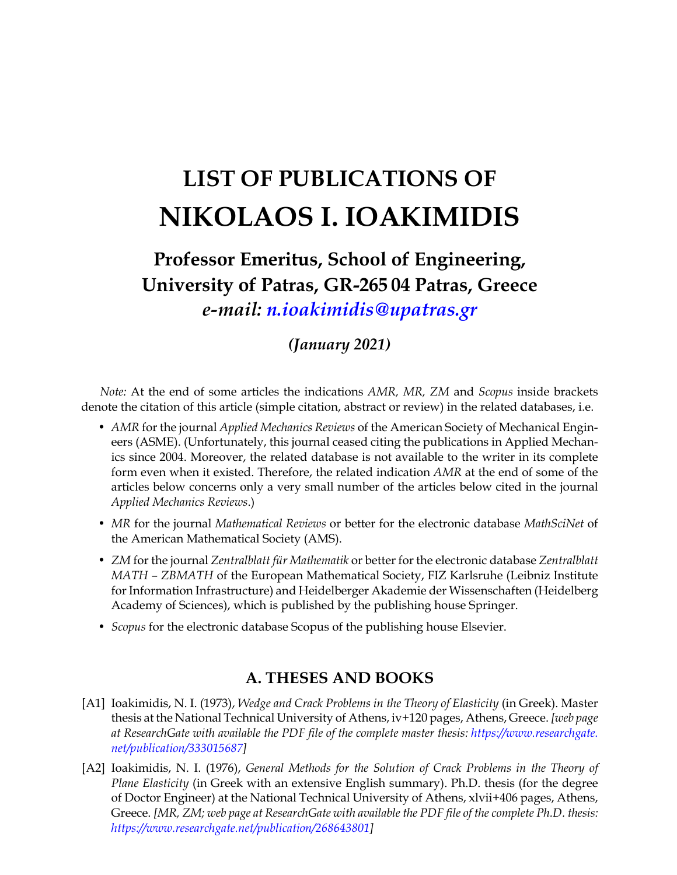# **LIST OF PUBLICATIONS OF NIKOLAOS I. IOAKIMIDIS**

# **Professor Emeritus, School of Engineering, University of Patras, GR-265 04 Patras, Greece** *e-mail: [n.ioakimidis@upatras.gr](mailto:n.ioakimidis@upatras.gr)*

# *(January 2021)*

*Note:* At the end of some articles the indications *AMR, MR, ZM* and *Scopus* inside brackets denote the citation of this article (simple citation, abstract or review) in the related databases, i.e.

- *AMR* for the journal *Applied Mechanics Reviews* of the American Society of Mechanical Engineers (ASME). (Unfortunately, this journal ceased citing the publications in Applied Mechanics since 2004. Moreover, the related database is not available to the writer in its complete form even when it existed. Therefore, the related indication *AMR* at the end of some of the articles below concerns only a very small number of the articles below cited in the journal *Applied Mechanics Reviews*.)
- *MR* for the journal *Mathematical Reviews* or better for the electronic database *MathSciNet* of the American Mathematical Society (AMS).
- *ZM* for the journal *Zentralblatt für Mathematik* or better for the electronic database *Zentralblatt MATH – ZBMATH* of the European Mathematical Society, FIZ Karlsruhe (Leibniz Institute for Information Infrastructure) and Heidelberger Akademie der Wissenschaften (Heidelberg Academy of Sciences), which is published by the publishing house Springer.
- *Scopus* for the electronic database Scopus of the publishing house Elsevier.

## **A. THESES AND BOOKS**

- [A1] Ioakimidis, N. I. (1973), *Wedge and Crack Problems in the Theory of Elasticity* (in Greek). Master thesis at the National Technical University of Athens, iv+120 pages, Athens, Greece. *[web page at ResearchGate with available the PDF file of the complete master thesis: [https://www.researchgate.](https://www.researchgate.net/publication/333015687) [net/publication/333015687\]](https://www.researchgate.net/publication/333015687)*
- [A2] Ioakimidis, N. I. (1976), *General Methods for the Solution of Crack Problems in the Theory of Plane Elasticity* (in Greek with an extensive English summary). Ph.D. thesis (for the degree of Doctor Engineer) at the National Technical University of Athens, xlvii+406 pages, Athens, Greece. *[MR, ZM; web page at ResearchGate with available the PDF file of the complete Ph.D. thesis: [https://www.researchgate.net/publication/268643801\]](https://www.researchgate.net/publication/268643801)*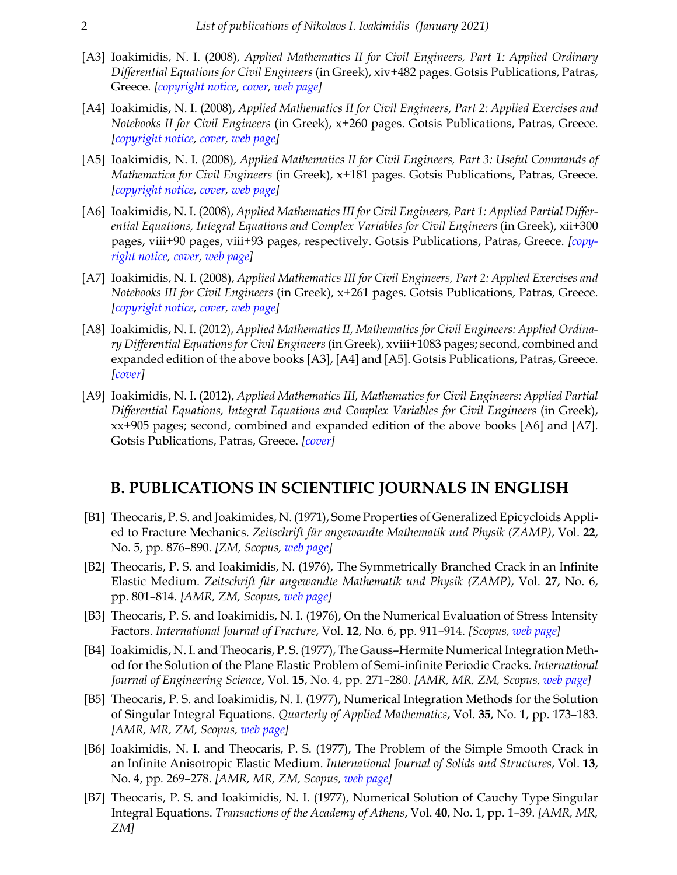- [A3] Ioakimidis, N. I. (2008), *Applied Mathematics II for Civil Engineers, Part 1: Applied Ordinary Differential Equations for Civil Engineers* (in Greek), xiv+482 pages. Gotsis Publications, Patras, Greece. *[[copyright notice,](https://eclass.upatras.gr/modules/document/file.php/CIV1553/EBOOKS/CopyrightNotice.pdf) [cover,](https://blogs.upatras.gr/ioakimid/wp-content/uploads/sites/51/2018/05/Cover-CEII-Part-1-2008.pdf) [web page\]](https://eclass.upatras.gr/modules/document/file.php/CIV1553/EBOOKS/CEII-CompleteTheoryAndExercises-2011-ebook.pdf)*
- [A4] Ioakimidis, N. I. (2008), *Applied Mathematics II for Civil Engineers, Part 2: Applied Exercises and Notebooks II for Civil Engineers* (in Greek), x+260 pages. Gotsis Publications, Patras, Greece. *[\[copyright notice](https://eclass.upatras.gr/modules/document/file.php/CIV1553/EBOOKS/CopyrightNotice.pdf), [cover](https://blogs.upatras.gr/ioakimid/wp-content/uploads/sites/51/2018/05/Cover-CEII-Part-2-2008.pdf), [web page](https://eclass.upatras.gr/modules/document/file.php/CIV1553/EBOOKS/CEII-ExercisesNotebooks-ebook.pdf )]*
- [A5] Ioakimidis, N. I. (2008), *Applied Mathematics II for Civil Engineers, Part 3: Useful Commands of Mathematica for Civil Engineers* (in Greek), x+181 pages. Gotsis Publications, Patras, Greece. *[\[copyright notice](https://eclass.upatras.gr/modules/document/file.php/CIV1553/EBOOKS/CopyrightNotice.pdf), [cover](https://blogs.upatras.gr/ioakimid/wp-content/uploads/sites/51/2018/05/Cover-CEII-Part-3-2008.pdf), [web page](https://eclass.upatras.gr/modules/document/file.php/CIV1553/EBOOKS/CE-Mathematica-ebook.pdf)]*
- [A6] Ioakimidis, N. I. (2008), *Applied Mathematics III for Civil Engineers, Part 1: Applied Partial Differential Equations, Integral Equations and Complex Variables for Civil Engineers* (in Greek), xii+300 pages, viii+90 pages, viii+93 pages, respectively. Gotsis Publications, Patras, Greece. *[\[copy](https://eclass.upatras.gr/modules/document/file.php/CIV1553/EBOOKS/CopyrightNotice.pdf)[right notice](https://eclass.upatras.gr/modules/document/file.php/CIV1553/EBOOKS/CopyrightNotice.pdf), [cover](https://blogs.upatras.gr/ioakimid/wp-content/uploads/sites/51/2018/05/Cover-CEIII-Part-1-2008.pdf), [web page\]](https://eclass.upatras.gr/modules/document/file.php/CIV1553/EBOOKS/CEIII-Theory-ebook.pdf)*
- [A7] Ioakimidis, N. I. (2008), *Applied Mathematics III for Civil Engineers, Part 2: Applied Exercises and Notebooks III for Civil Engineers* (in Greek), x+261 pages. Gotsis Publications, Patras, Greece. *[\[copyright notice](https://eclass.upatras.gr/modules/document/file.php/CIV1553/EBOOKS/CopyrightNotice.pdf), [cover](https://blogs.upatras.gr/ioakimid/wp-content/uploads/sites/51/2018/05/Cover-CEIII-Part-2-2008.pdf), [web page](https://eclass.upatras.gr/modules/document/file.php/CIV1553/EBOOKS/CEIII-ExercisesNotebooks-ebook.pdf)]*
- [A8] Ioakimidis, N. I. (2012), *Applied Mathematics II, Mathematics for Civil Engineers: Applied Ordinary Differential Equations for Civil Engineers*(in Greek), xviii+1083 pages; second, combined and expanded edition of the above books [A3], [A4] and [A5]. Gotsis Publications, Patras, Greece. *[\[cover\]](https://blogs.upatras.gr/ioakimid/wp-content/uploads/sites/51/2018/05/Cover-CEII-2012.pdf)*
- [A9] Ioakimidis, N. I. (2012), *Applied Mathematics III, Mathematics for Civil Engineers: Applied Partial Differential Equations, Integral Equations and Complex Variables for Civil Engineers* (in Greek), xx+905 pages; second, combined and expanded edition of the above books [A6] and [A7]. Gotsis Publications, Patras, Greece. *[\[cover\]](https://blogs.upatras.gr/ioakimid/wp-content/uploads/sites/51/2018/05/Cover-CEIII-2012.pdf)*

#### **Β. PUBLICATIONS IN SCIENTIFIC JOURNALS IN ENGLISH**

- [B1] Theocaris, P. S. and Joakimides, N. (1971), Some Properties of Generalized Epicycloids Applied to Fracture Mechanics. *Zeitschrift für angewandte Mathematik und Physik (ZAMP)*, Vol. **22**, No. 5, pp. 876–890. *[ZM, Scopus, [web page](https://doi.org/10.1007/BF01591815)]*
- [B2] Theocaris, P. S. and Ioakimidis, N. (1976), The Symmetrically Branched Crack in an Infinite Elastic Medium. *Zeitschrift für angewandte Mathematik und Physik (ZAMP)*, Vol. **27**, No. 6, pp. 801–814. *[AMR, ZM, Scopus, [web page\]](https://doi.org/10.1007/BF01595131)*
- [B3] Theocaris, P. S. and Ioakimidis, N. I. (1976), On the Numerical Evaluation of Stress Intensity Factors. *International Journal of Fracture*, Vol. **12**, No. 6, pp. 911–914. *[Scopus, [web page\]](http://link.springer.com/article/10.1007/BF00034628)*
- [B4] Ioakimidis, N. I. and Theocaris, P. S. (1977), The Gauss–Hermite Numerical Integration Method for the Solution of the Plane Elastic Problem of Semi-infinite Periodic Cracks. *International Journal of Engineering Science*, Vol. **15**, No. 4, pp. 271–280. *[AMR, MR, ZM, Scopus, [web page\]](https://doi.org/10.1016/0020-7225(77)90062-3)*
- [B5] Theocaris, P. S. and Ioakimidis, N. I. (1977), Numerical Integration Methods for the Solution of Singular Integral Equations. *Quarterly of Applied Mathematics*, Vol. **35**, No. 1, pp. 173–183. *[AMR, MR, ZM, Scopus, [web page\]](https://doi.org/10.1090/qam/445873)*
- [B6] Ioakimidis, N. I. and Theocaris, P. S. (1977), The Problem of the Simple Smooth Crack in an Infinite Anisotropic Elastic Medium. *International Journal of Solids and Structures*, Vol. **13**, No. 4, pp. 269–278. *[AMR, MR, ZM, Scopus, [web page](https://doi.org/10.1016/0020-7683(77)90012-9)]*
- [B7] Theocaris, P. S. and Ioakimidis, N. I. (1977), Numerical Solution of Cauchy Type Singular Integral Equations. *Transactions of the Academy of Athens*, Vol. **40**, No. 1, pp. 1–39. *[AMR, MR, ZM]*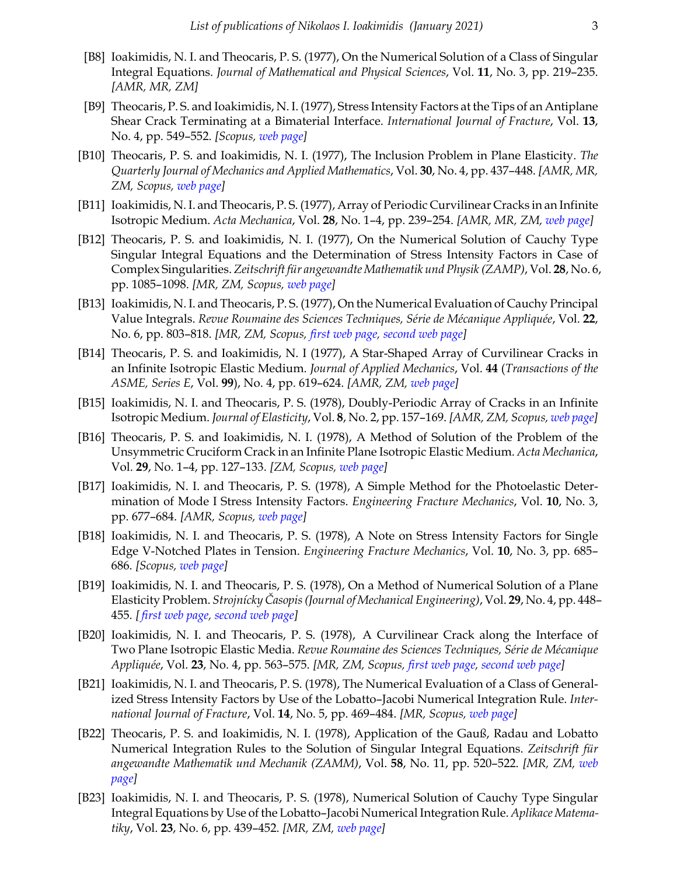- [B8] Ioakimidis, N. I. and Theocaris, P. S. (1977), On the Numerical Solution of a Class of Singular Integral Equations. *Journal of Mathematical and Physical Sciences*, Vol. **11**, No. 3, pp. 219–235. *[AMR, MR, ZM]*
- [B9] Theocaris, P. S. and Ioakimidis, N. I. (1977), Stress Intensity Factors at the Tips of an Antiplane Shear Crack Terminating at a Bimaterial Interface. *International Journal of Fracture*, Vol. **13**, No. 4, pp. 549–552. *[Scopus, [web page](http://link.springer.com/article/10.1007%2FBF00034261)]*
- [B10] Theocaris, P. S. and Ioakimidis, N. I. (1977), The Inclusion Problem in Plane Elasticity. *The Quarterly Journal of Mechanics and Applied Mathematics*, Vol. **30**, No. 4, pp. 437–448. *[AMR, MR, ZM, Scopus, [web page](https://doi.org/10.1093/qjmam/30.4.437)]*
- [B11] Ioakimidis, N. I. and Theocaris, P. S. (1977), Array of Periodic Curvilinear Cracks in an Infinite Isotropic Medium. *Acta Mechanica*, Vol. **28**, No. 1–4, pp. 239–254. *[AMR, MR, ZM, [web page\]](https://doi.org/10.1007/BF01208801)*
- [B12] Theocaris, P. S. and Ioakimidis, N. I. (1977), On the Numerical Solution of Cauchy Type Singular Integral Equations and the Determination of Stress Intensity Factors in Case of Complex Singularities. *Zeitschrift für angewandte Mathematik und Physik (ZAMP)*, Vol. **28**, No. 6, pp. 1085–1098. *[MR, ZM, Scopus, [web page\]](https://doi.org/10.1007/BF01601675)*
- [B13] Ioakimidis, N. I. and Theocaris, P. S. (1977), On the Numerical Evaluation of Cauchy Principal Value Integrals. *Revue Roumaine des Sciences Techniques, Série de Mécanique Appliquée*, Vol. **22**, No. 6, pp. 803–818. *[MR, ZM, Scopus, [first web page](https://blogs.upatras.gr/ioakimid/wp-content/uploads/sites/51/2018/04/TR-1976-B13.pdf), [second web page\]](http://www.users.otenet.gr/~niipdnii/NII-publications/TR-1976-B13.pdf)*
- [B14] Theocaris, P. S. and Ioakimidis, N. I (1977), A Star-Shaped Array of Curvilinear Cracks in an Infinite Isotropic Elastic Medium. *Journal of Applied Mechanics*, Vol. **44** (*Transactions of the ASME, Series E*, Vol. **99**), No. 4, pp. 619–624. *[AMR, ZM, [web page](https://doi.org/10.1115/1.3424146)]*
- [B15] Ioakimidis, N. I. and Theocaris, P. S. (1978), Doubly-Periodic Array of Cracks in an Infinite Isotropic Medium. *Journal of Elasticity*, Vol. **8**, No. 2, pp. 157–169. *[AMR, ZM, Scopus, [web page\]](https://doi.org/10.1007/BF00052479)*
- [B16] Theocaris, P. S. and Ioakimidis, N. I. (1978), A Method of Solution of the Problem of the Unsymmetric Cruciform Crack in an Infinite Plane Isotropic Elastic Medium. *Acta Mechanica*, Vol. **29**, No. 1–4, pp. 127–133. *[ZM, Scopus, [web page](https://doi.org/10.1007/BF01176631)]*
- [B17] Ioakimidis, N. I. and Theocaris, P. S. (1978), A Simple Method for the Photoelastic Determination of Mode I Stress Intensity Factors. *Engineering Fracture Mechanics*, Vol. **10**, No. 3, pp. 677–684. *[AMR, Scopus, [web page\]](https://doi.org/10.1016/0013-7944(78)90072-3)*
- [B18] Ioakimidis, N. I. and Theocaris, P. S. (1978), A Note on Stress Intensity Factors for Single Edge V-Notched Plates in Tension. *Engineering Fracture Mechanics*, Vol. **10**, No. 3, pp. 685– 686. *[Scopus, [web page\]](https://doi.org/10.1016/0013-7944(78)90073-5)*
- [B19] Ioakimidis, N. I. and Theocaris, P. S. (1978), On a Method of Numerical Solution of a Plane Elasticity Problem. *Strojnícky Časopis (Journal of Mechanical Engineering)*, Vol. **29**, No. 4, pp. 448– 455. *[ [first web page,](https://blogs.upatras.gr/ioakimid/wp-content/uploads/sites/51/2019/11/TR-1978-B19.pdf) [second web page](http://www.users.otenet.gr/~niipdnii/NII-publications/TR-1978-B19.pdf)]*
- [B20] Ioakimidis, N. I. and Theocaris, P. S. (1978), A Curvilinear Crack along the Interface of Two Plane Isotropic Elastic Media. *Revue Roumaine des Sciences Techniques, Série de Mécanique Appliquée*, Vol. **23**, No. 4, pp. 563–575. *[MR, ZM, Scopus, [first web page](https://blogs.upatras.gr/ioakimid/wp-content/uploads/sites/51/2018/05/TR-1977-B20.pdf), [second web page](http://www.users.otenet.gr/~niipdnii/NII-publications/TR-1977-B20.pdf)]*
- [B21] Ioakimidis, N. I. and Theocaris, P. S. (1978), The Numerical Evaluation of a Class of Generalized Stress Intensity Factors by Use of the Lobatto–Jacobi Numerical Integration Rule. *International Journal of Fracture*, Vol. **14**, No. 5, pp. 469–484. *[MR, Scopus, [web page\]](https://doi.org/10.1007/BF01390469)*
- [B22] Theocaris, P. S. and Ioakimidis, N. I. (1978), Application of the Gauß, Radau and Lobatto Numerical Integration Rules to the Solution of Singular Integral Equations. *Zeitschrift für angewandte Mathematik und Mechanik (ZAMM)*, Vol. **58**, No. 11, pp. 520–522. *[MR, ZM, [web](https://doi.org/10.1002/zamm.19780581108) [page\]](https://doi.org/10.1002/zamm.19780581108)*
- [B23] Ioakimidis, N. I. and Theocaris, P. S. (1978), Numerical Solution of Cauchy Type Singular Integral Equations by Use of the Lobatto–Jacobi Numerical Integration Rule. *Aplikace Matematiky*, Vol. **23**, No. 6, pp. 439–452. *[MR, ZM, [web page](http://dml.cz/handle/10338.dmlcz/103770)]*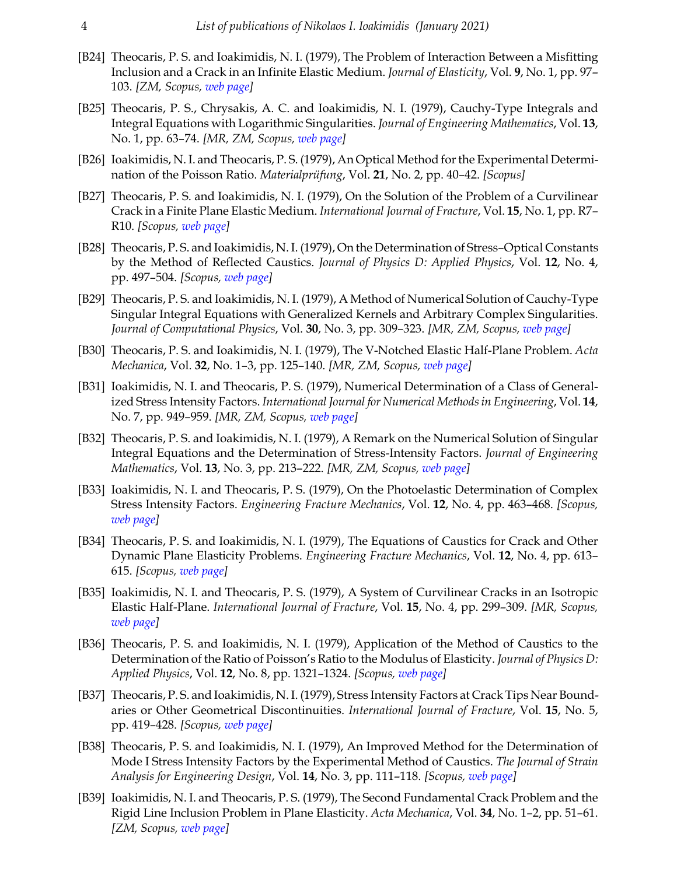- [B24] Theocaris, P. S. and Ioakimidis, N. I. (1979), The Problem of Interaction Between a Misfitting Inclusion and a Crack in an Infinite Elastic Medium. *Journal of Elasticity*, Vol. **9**, No. 1, pp. 97– 103. *[ZM, Scopus, [web page\]](https://doi.org/10.1007/BF00040984)*
- [B25] Theocaris, P. S., Chrysakis, A. C. and Ioakimidis, N. I. (1979), Cauchy-Type Integrals and Integral Equations with Logarithmic Singularities. *Journal of Engineering Mathematics*, Vol. **13**, No. 1, pp. 63–74. *[MR, ZM, Scopus, [web page\]](https://doi.org/10.1007/BF00042797)*
- [B26] Ioakimidis, N. I. and Theocaris, P. S. (1979), An Optical Method for the Experimental Determination of the Poisson Ratio. *Materialprüfung*, Vol. **21**, No. 2, pp. 40–42. *[Scopus]*
- [B27] Theocaris, P. S. and Ioakimidis, N. I. (1979), On the Solution of the Problem of a Curvilinear Crack in a Finite Plane Elastic Medium. *International Journal of Fracture*, Vol. **15**, No. 1, pp. R7– R10. *[Scopus, [web page](https://doi.org/10.1007/BF00115913)]*
- [B28] Theocaris, P. S. and Ioakimidis, N. I. (1979), On the Determination of Stress–Optical Constants by the Method of Reflected Caustics. *Journal of Physics D: Applied Physics*, Vol. **12**, No. 4, pp. 497–504. *[Scopus, [web page\]](http://iopscience.iop.org/article/10.1088/0022-3727/12/4/007/meta)*
- [B29] Theocaris, P. S. and Ioakimidis, N. I. (1979), A Method of Numerical Solution of Cauchy-Type Singular Integral Equations with Generalized Kernels and Arbitrary Complex Singularities. *Journal of Computational Physics*, Vol. **30**, No. 3, pp. 309–323. *[MR, ZM, Scopus, [web page](https://doi.org/10.1016/0021-9991(79)90117-7)]*
- [B30] Theocaris, P. S. and Ioakimidis, N. I. (1979), The V-Notched Elastic Half-Plane Problem. *Acta Mechanica*, Vol. **32**, No. 1–3, pp. 125–140. *[MR, ZM, Scopus, [web page](https://doi.org/10.1007/BF01176138)]*
- [B31] Ioakimidis, N. I. and Theocaris, P. S. (1979), Numerical Determination of a Class of Generalized Stress Intensity Factors. *International Journal for Numerical Methods in Engineering*, Vol. **14**, No. 7, pp. 949–959. *[MR, ZM, Scopus, [web page](https://doi.org/10.1002/nme.1620140702)]*
- [B32] Theocaris, P. S. and Ioakimidis, N. I. (1979), A Remark on the Numerical Solution of Singular Integral Equations and the Determination of Stress-Intensity Factors. *Journal of Engineering Mathematics*, Vol. **13**, No. 3, pp. 213–222. *[MR, ZM, Scopus, [web page\]](https://doi.org/10.1007/BF00036670)*
- [B33] Ioakimidis, N. I. and Theocaris, P. S. (1979), On the Photoelastic Determination of Complex Stress Intensity Factors. *Engineering Fracture Mechanics*, Vol. **12**, No. 4, pp. 463–468. *[Scopus, [web page\]](https://doi.org/10.1016/0013-7944(79)90089-4)*
- [B34] Theocaris, P. S. and Ioakimidis, N. I. (1979), The Equations of Caustics for Crack and Other Dynamic Plane Elasticity Problems. *Engineering Fracture Mechanics*, Vol. **12**, No. 4, pp. 613– 615. *[Scopus, [web page\]](https://doi.org/10.1016/0013-7944(79)90101-2)*
- [B35] Ioakimidis, N. I. and Theocaris, P. S. (1979), A System of Curvilinear Cracks in an Isotropic Elastic Half-Plane. *International Journal of Fracture*, Vol. **15**, No. 4, pp. 299–309. *[MR, Scopus, [web page\]](http://link.springer.com/article/10.1007/BF00033056)*
- [B36] Theocaris, P. S. and Ioakimidis, N. I. (1979), Application of the Method of Caustics to the Determination of the Ratio of Poisson's Ratio to the Modulus of Elasticity. *Journal of Physics D: Applied Physics*, Vol. **12**, No. 8, pp. 1321–1324. *[Scopus, [web page](http://iopscience.iop.org/article/10.1088/0022-3727/12/8/012/meta)]*
- [B37] Theocaris, P. S. and Ioakimidis, N. I. (1979), Stress Intensity Factors at Crack Tips Near Boundaries or Other Geometrical Discontinuities. *International Journal of Fracture*, Vol. **15**, No. 5, pp. 419–428. *[Scopus, [web page\]](https://doi.org/10.1007/BF00023329)*
- [B38] Theocaris, P. S. and Ioakimidis, N. I. (1979), An Improved Method for the Determination of Mode I Stress Intensity Factors by the Experimental Method of Caustics. *The Journal of Strain Analysis for Engineering Design*, Vol. **14**, No. 3, pp. 111–118. *[Scopus, [web page\]](http://sdj.sagepub.com/content/14/3/111.short)*
- [B39] Ioakimidis, N. I. and Theocaris, P. S. (1979), The Second Fundamental Crack Problem and the Rigid Line Inclusion Problem in Plane Elasticity. *Acta Mechanica*, Vol. **34**, No. 1–2, pp. 51–61. *[ZM, Scopus, [web page\]](https://doi.org/10.1007/BF01176257)*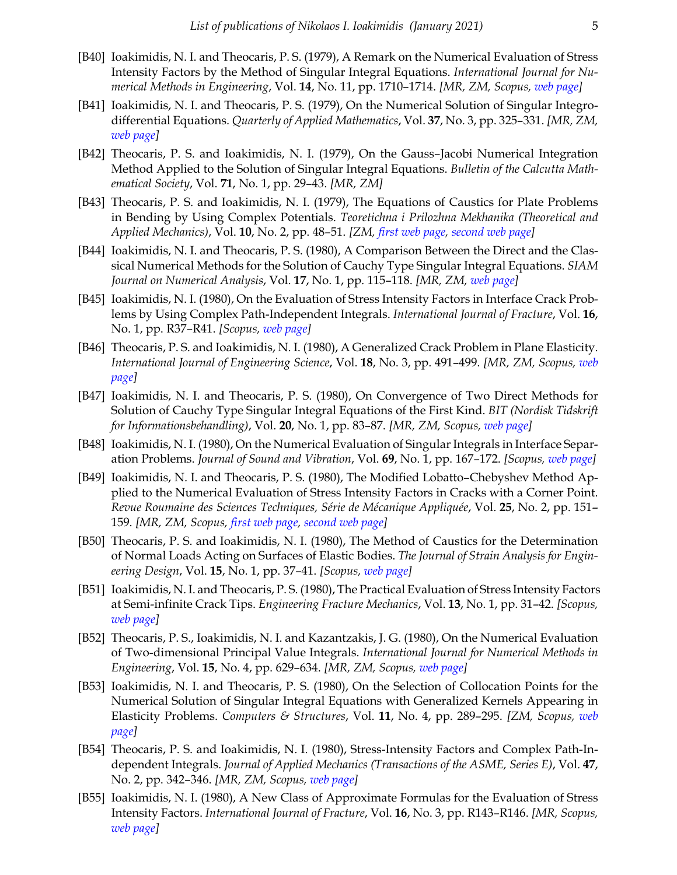- [B40] Ioakimidis, N. I. and Theocaris, P. S. (1979), A Remark on the Numerical Evaluation of Stress Intensity Factors by the Method of Singular Integral Equations. *International Journal for Numerical Methods in Engineering*, Vol. **14**, No. 11, pp. 1710–1714. *[MR, ZM, Scopus, [web page](https://doi.org/10.1002/nme.1620141112)]*
- [B41] Ioakimidis, N. I. and Theocaris, P. S. (1979), On the Numerical Solution of Singular Integrodifferential Equations. *Quarterly of Applied Mathematics*, Vol. **37**, No. 3, pp. 325–331. *[MR, ZM, [web page\]](https://doi.org/10.1090/qam/548991 )*
- [B42] Theocaris, P. S. and Ioakimidis, N. I. (1979), On the Gauss–Jacobi Numerical Integration Method Applied to the Solution of Singular Integral Equations. *Bulletin of the Calcutta Mathematical Society*, Vol. **71**, No. 1, pp. 29–43. *[MR, ZM]*
- [B43] Theocaris, P. S. and Ioakimidis, N. I. (1979), The Equations of Caustics for Plate Problems in Bending by Using Complex Potentials. *Teoretichna i Prilozhna Mekhanika (Theoretical and Applied Mechanics)*, Vol. **10**, No. 2, pp. 48–51. *[ZM, [first web page](https://blogs.upatras.gr/ioakimid/wp-content/uploads/sites/51/2018/05/TR-1978-B43.pdf), [second web page](http://www.users.otenet.gr/~niipdnii/NII-publications/TR-1978-B43.pdf)]*
- [B44] Ioakimidis, N. I. and Theocaris, P. S. (1980), A Comparison Between the Direct and the Classical Numerical Methods for the Solution of Cauchy Type Singular Integral Equations. *SIAM Journal on Numerical Analysis*, Vol. **17**, No. 1, pp. 115–118. *[MR, ZM, [web page\]](https://doi.org/10.1137/0717012)*
- [B45] Ioakimidis, N. I. (1980), On the Evaluation of Stress Intensity Factors in Interface Crack Problems by Using Complex Path-Independent Integrals. *International Journal of Fracture*, Vol. **16**, No. 1, pp. R37–R41. *[Scopus, [web page](https://doi.org/10.1007/BF00042396)]*
- [B46] Theocaris, P. S. and Ioakimidis, N. I. (1980), A Generalized Crack Problem in Plane Elasticity. *International Journal of Engineering Science*, Vol. **18**, No. 3, pp. 491–499. *[MR, ZM, Scopus, [web](https://doi.org/10.1016/0020-7225(80)90042-7) [page\]](https://doi.org/10.1016/0020-7225(80)90042-7)*
- [B47] Ioakimidis, N. I. and Theocaris, P. S. (1980), On Convergence of Two Direct Methods for Solution of Cauchy Type Singular Integral Equations of the First Kind. *BIT (Nordisk Tidskrift for Informationsbehandling)*, Vol. **20**, No. 1, pp. 83–87. *[MR, ZM, Scopus, [web page\]](https://doi.org/10.1007/BF01933588)*
- [B48] Ioakimidis, N. I. (1980), On the Numerical Evaluation of Singular Integrals in Interface Separation Problems. *Journal of Sound and Vibration*, Vol. **69**, No. 1, pp. 167–172. *[Scopus, [web page\]](https://doi.org/10.1016/0022-460X(80)90445-9)*
- [B49] Ioakimidis, N. I. and Theocaris, P. S. (1980), The Modified Lobatto–Chebyshev Method Applied to the Numerical Evaluation of Stress Intensity Factors in Cracks with a Corner Point. *Revue Roumaine des Sciences Techniques, Série de Mécanique Appliquée*, Vol. **25**, No. 2, pp. 151– 159. *[MR, ZM, Scopus, [first web page,](https://blogs.upatras.gr/ioakimid/wp-content/uploads/sites/51/2018/05/TR-1979-B49.pdf) [second web page\]](http://www.users.otenet.gr/~niipdnii/NII-publications/TR-1979-B49.pdf)*
- [B50] Theocaris, P. S. and Ioakimidis, N. I. (1980), The Method of Caustics for the Determination of Normal Loads Acting on Surfaces of Elastic Bodies. *The Journal of Strain Analysis for Engineering Design*, Vol. **15**, No. 1, pp. 37–41. *[Scopus, [web page](http://sdj.sagepub.com/content/15/1/37.short)]*
- [B51] Ioakimidis, N. I. and Theocaris, P. S. (1980), The Practical Evaluation of Stress Intensity Factors at Semi-infinite Crack Tips. *Engineering Fracture Mechanics*, Vol. **13**, No. 1, pp. 31–42. *[Scopus, [web page\]](https://doi.org/10.1016/0013-7944(80)90038-7)*
- [B52] Theocaris, P. S., Ioakimidis, N. I. and Kazantzakis, J. G. (1980), On the Numerical Evaluation of Two-dimensional Principal Value Integrals. *International Journal for Numerical Methods in Engineering*, Vol. **15**, No. 4, pp. 629–634. *[MR, ZM, Scopus, [web page](https://doi.org/10.1002/nme.1620150414)]*
- [B53] Ioakimidis, N. I. and Theocaris, P. S. (1980), On the Selection of Collocation Points for the Numerical Solution of Singular Integral Equations with Generalized Kernels Appearing in Elasticity Problems. *Computers & Structures*, Vol. **11**, No. 4, pp. 289–295. *[ZM, Scopus, [web](https://doi.org/10.1016/0045-7949(80)90079-6) [page\]](https://doi.org/10.1016/0045-7949(80)90079-6)*
- [B54] Theocaris, P. S. and Ioakimidis, N. I. (1980), Stress-Intensity Factors and Complex Path-Independent Integrals. *Journal of Applied Mechanics (Transactions of the ASME, Series E)*, Vol. **47**, No. 2, pp. 342–346. *[MR, ZM, Scopus, [web page](https://doi.org/10.1115/1.3153666)]*
- [B55] Ioakimidis, N. I. (1980), A New Class of Approximate Formulas for the Evaluation of Stress Intensity Factors. *International Journal of Fracture*, Vol. **16**, No. 3, pp. R143–R146. *[MR, Scopus, [web page\]](https://doi.org/10.1007/BF00013394)*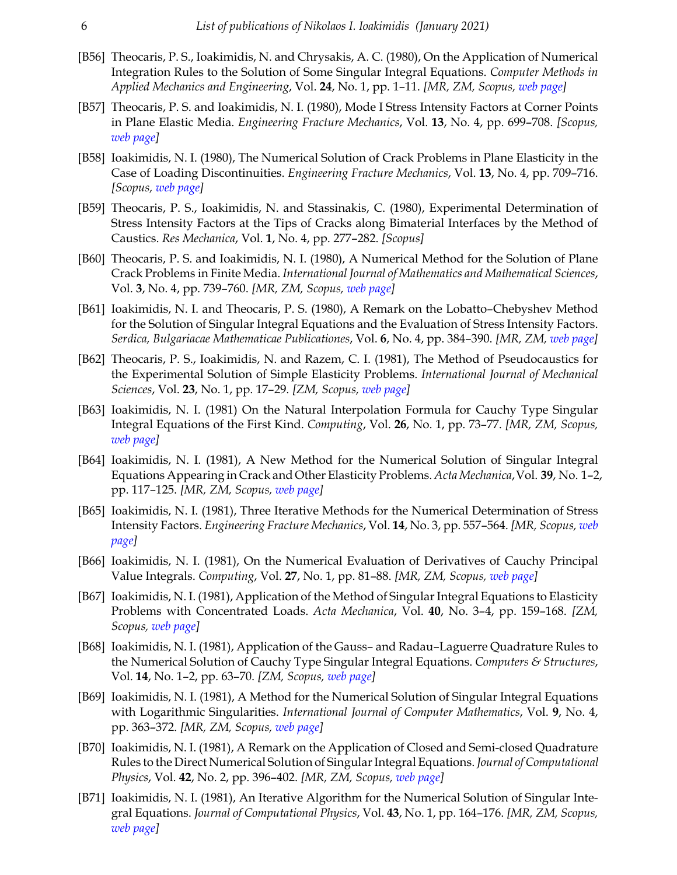- [B56] Theocaris, P. S., Ioakimidis, N. and Chrysakis, A. C. (1980), On the Application of Numerical Integration Rules to the Solution of Some Singular Integral Equations. *Computer Methods in Applied Mechanics and Engineering*, Vol. **24**, No. 1, pp. 1–11. *[MR, ZM, Scopus, [web page](https://doi.org/10.1016/0045-7825(80)90037-7)]*
- [B57] Theocaris, P. S. and Ioakimidis, N. I. (1980), Mode I Stress Intensity Factors at Corner Points in Plane Elastic Media. *Engineering Fracture Mechanics*, Vol. **13**, No. 4, pp. 699–708. *[Scopus, [web page\]](https://doi.org/10.1016/0013-7944(80)90002-8)*
- [B58] Ioakimidis, N. I. (1980), The Numerical Solution of Crack Problems in Plane Elasticity in the Case of Loading Discontinuities. *Engineering Fracture Mechanics*, Vol. **13**, No. 4, pp. 709–716. *[Scopus, [web page\]](https://doi.org/10.1016/0013-7944(80)90003-X)*
- [B59] Theocaris, P. S., Ioakimidis, N. and Stassinakis, C. (1980), Experimental Determination of Stress Intensity Factors at the Tips of Cracks along Bimaterial Interfaces by the Method of Caustics. *Res Mechanica*, Vol. **1**, No. 4, pp. 277–282. *[Scopus]*
- [B60] Theocaris, P. S. and Ioakimidis, N. I. (1980), A Numerical Method for the Solution of Plane Crack Problems in Finite Media. *International Journal of Mathematics and Mathematical Sciences*, Vol. **3**, No. 4, pp. 739–760. *[MR, ZM, Scopus, [web page\]](https://doi.org/10.1155/S0161171280000543)*
- [B61] Ioakimidis, N. I. and Theocaris, P. S. (1980), A Remark on the Lobatto–Chebyshev Method for the Solution of Singular Integral Equations and the Evaluation of Stress Intensity Factors. *Serdica, Bulgariacae Mathematicae Publicationes*, Vol. **6**, No. 4, pp. 384–390. *[MR, ZM, [web page\]](http://www.math.bas.bg/serdica/1980/1980-384-390.pdf)*
- [B62] Theocaris, P. S., Ioakimidis, N. and Razem, C. I. (1981), The Method of Pseudocaustics for the Experimental Solution of Simple Elasticity Problems. *International Journal of Mechanical Sciences*, Vol. **23**, No. 1, pp. 17–29. *[ZM, Scopus, [web page\]](https://doi.org/10.1016/0020-7403(81)90004-7)*
- [B63] Ioakimidis, N. I. (1981) On the Natural Interpolation Formula for Cauchy Type Singular Integral Equations of the First Kind. *Computing*, Vol. **26**, No. 1, pp. 73–77. *[MR, ZM, Scopus, [web page\]](https://doi.org/10.1007/BF02243425)*
- [B64] Ioakimidis, N. I. (1981), A New Method for the Numerical Solution of Singular Integral Equations Appearing in Crack and Other Elasticity Problems. *Acta Mechanica*,Vol. **39**, No. 1–2, pp. 117–125. *[MR, ZM, Scopus, [web page](https://doi.org/10.1007/BF01173197)]*
- [B65] Ioakimidis, N. I. (1981), Three Iterative Methods for the Numerical Determination of Stress Intensity Factors. *Engineering Fracture Mechanics*, Vol. **14**, No. 3, pp. 557–564. *[MR, Scopus, [web](https://doi.org/10.1016/0013-7944(81)90043-6) [page\]](https://doi.org/10.1016/0013-7944(81)90043-6)*
- [B66] Ioakimidis, N. I. (1981), On the Numerical Evaluation of Derivatives of Cauchy Principal Value Integrals. *Computing*, Vol. **27**, No. 1, pp. 81–88. *[MR, ZM, Scopus, [web page](https://doi.org/10.1007/BF02243440)]*
- [B67] Ioakimidis, N. I. (1981), Application of the Method of Singular Integral Equations to Elasticity Problems with Concentrated Loads. *Acta Mechanica*, Vol. **40**, No. 3–4, pp. 159–168. *[ZM, Scopus, [web page](https://doi.org/10.1007/BF01170428)]*
- [B68] Ioakimidis, N. I. (1981), Application of the Gauss– and Radau–Laguerre Quadrature Rules to the Numerical Solution of Cauchy Type Singular Integral Equations. *Computers & Structures*, Vol. **14**, No. 1–2, pp. 63–70. *[ZM, Scopus, [web page](https://doi.org/10.1016/0045-7949(81)90084-5)]*
- [B69] Ioakimidis, N. I. (1981), A Method for the Numerical Solution of Singular Integral Equations with Logarithmic Singularities. *International Journal of Computer Mathematics*, Vol. **9**, No. 4, pp. 363–372. *[MR, ZM, Scopus, [web page](https://doi.org/10.1080/00207168108803258)]*
- [B70] Ioakimidis, N. I. (1981), A Remark on the Application of Closed and Semi-closed Quadrature Rules to the Direct Numerical Solution of Singular Integral Equations. *Journal of Computational Physics*, Vol. **42**, No. 2, pp. 396–402. *[MR, ZM, Scopus, [web page](https://doi.org/10.1016/0021-9991(81)90252-7)]*
- [B71] Ioakimidis, N. I. (1981), An Iterative Algorithm for the Numerical Solution of Singular Integral Equations. *Journal of Computational Physics*, Vol. **43**, No. 1, pp. 164–176. *[MR, ZM, Scopus, [web page\]](https://doi.org/10.1016/0021-9991(81)90115-7)*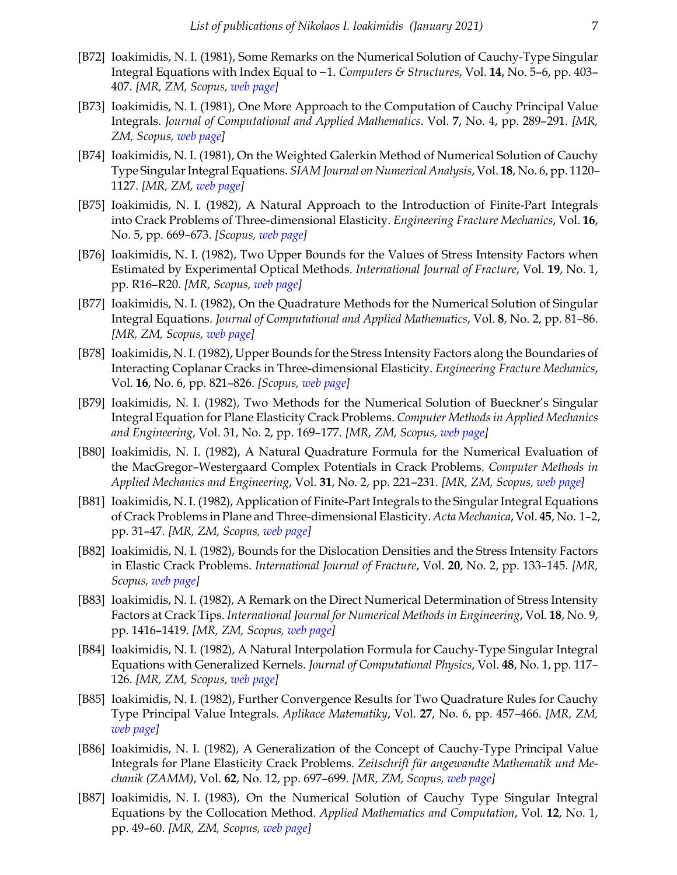- [B72] Ioakimidis, N. I. (1981), Some Remarks on the Numerical Solution of Cauchy-Type Singular Integral Equations with Index Equal to −1. *Computers & Structures*, Vol. **14**, No. 5–6, pp. 403– 407. *[MR, ZM, Scopus, [web page\]](https://doi.org/10.1016/0045-7949(81)90060-2)*
- [B73] Ioakimidis, N. I. (1981), One More Approach to the Computation of Cauchy Principal Value Integrals. *Journal of Computational and Applied Mathematics*. Vol. **7**, No. 4, pp. 289–291. *[MR, ZM, Scopus, [web page](https://doi.org/10.1016/0771-050X(81)90058-9)]*
- [B74] Ioakimidis, N. I. (1981), On the Weighted Galerkin Method of Numerical Solution of Cauchy Type Singular Integral Equations. *SIAM Journal on Numerical Analysis*, Vol. **18**, No. 6, pp. 1120– 1127. *[MR, ZM, [web page\]](https://doi.org/10.1137/0718076)*
- [B75] Ioakimidis, N. I. (1982), A Natural Approach to the Introduction of Finite-Part Integrals into Crack Problems of Three-dimensional Elasticity. *Engineering Fracture Mechanics*, Vol. **16**, No. 5, pp. 669–673. *[Scopus, [web page](https://doi.org/10.1016/0013-7944(82)90020-0)]*
- [B76] Ioakimidis, N. I. (1982), Two Upper Bounds for the Values of Stress Intensity Factors when Estimated by Experimental Optical Methods. *International Journal of Fracture*, Vol. **19**, No. 1, pp. R16–R20. *[MR, Scopus, [web page\]](https://doi.org/10.1007/BF00012497)*
- [B77] Ioakimidis, N. I. (1982), On the Quadrature Methods for the Numerical Solution of Singular Integral Equations. *Journal of Computational and Applied Mathematics*, Vol. **8**, No. 2, pp. 81–86. *[MR, ZM, Scopus, [web page\]](https://doi.org/10.1016/0771-050X(82)90059-6)*
- [B78] Ioakimidis, N. I. (1982), Upper Bounds for the Stress Intensity Factors along the Boundaries of Interacting Coplanar Cracks in Three-dimensional Elasticity. *Engineering Fracture Mechanics*, Vol. **16**, No. 6, pp. 821–826. *[Scopus, [web page](https://doi.org/10.1016/0013-7944(82)90006-6)]*
- [B79] Ioakimidis, N. I. (1982), Two Methods for the Numerical Solution of Bueckner's Singular Integral Equation for Plane Elasticity Crack Problems. *Computer Methods in Applied Mechanics and Engineering*, Vol. 31, No. 2, pp. 169–177. *[MR, ZM, Scopus, [web page](https://doi.org/10.1016/0045-7825(82)90022-6)]*
- [B80] Ioakimidis, N. I. (1982), A Natural Quadrature Formula for the Numerical Evaluation of the MacGregor–Westergaard Complex Potentials in Crack Problems. *Computer Methods in Applied Mechanics and Engineering*, Vol. **31**, No. 2, pp. 221–231. *[MR, ZM, Scopus, [web page](https://doi.org/10.1016/0045-7825(82)90026-3)]*
- [B81] Ioakimidis, N. I. (1982), Application of Finite-Part Integrals to the Singular Integral Equations of Crack Problems in Plane and Three-dimensional Elasticity. *Acta Mechanica*, Vol. **45**, No. 1–2, pp. 31–47. *[MR, ZM, Scopus, [web page](https://doi.org/10.1007/BF01295569)]*
- [B82] Ioakimidis, N. I. (1982), Bounds for the Dislocation Densities and the Stress Intensity Factors in Elastic Crack Problems. *International Journal of Fracture*, Vol. **20**, No. 2, pp. 133–145. *[MR, Scopus, [web page](https://doi.org/10.1007/BF01141262)]*
- [B83] Ioakimidis, N. I. (1982), A Remark on the Direct Numerical Determination of Stress Intensity Factors at Crack Tips. *International Journal for Numerical Methods in Engineering*, Vol. **18**, No. 9, pp. 1416–1419. *[MR, ZM, Scopus, [web page\]](https://doi.org/10.1002/nme.1620180913)*
- [B84] Ioakimidis, N. I. (1982), A Natural Interpolation Formula for Cauchy-Type Singular Integral Equations with Generalized Kernels. *Journal of Computational Physics*, Vol. **48**, No. 1, pp. 117– 126. *[MR, ZM, Scopus, [web page\]](https://doi.org/10.1016/0021-9991(82)90038-9)*
- [B85] Ioakimidis, N. I. (1982), Further Convergence Results for Two Quadrature Rules for Cauchy Type Principal Value Integrals. *Aplikace Matematiky*, Vol. **27**, No. 6, pp. 457–466. *[MR, ZM, [web page\]](http://dml.cz/handle/10338.dmlcz/103992)*
- [B86] Ioakimidis, N. I. (1982), A Generalization of the Concept of Cauchy-Type Principal Value Integrals for Plane Elasticity Crack Problems. *Zeitschrift für angewandte Mathematik und Mechanik (ZAMM)*, Vol. **62**, No. 12, pp. 697–699. *[MR, ZM, Scopus, [web page\]](https://doi.org/10.1002/zamm.19820621208)*
- [B87] Ioakimidis, N. I. (1983), On the Numerical Solution of Cauchy Type Singular Integral Equations by the Collocation Method. *Applied Mathematics and Computation*, Vol. **12**, No. 1, pp. 49–60. *[MR, ZM, Scopus, [web page](https://doi.org/10.1016/0096-3003(83)90041-3)]*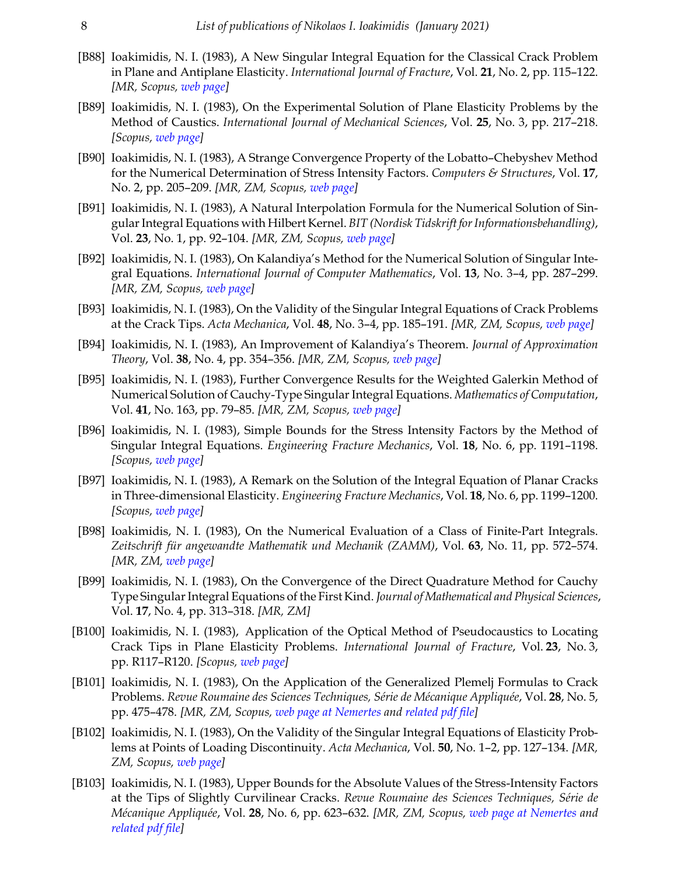- [B88] Ioakimidis, N. I. (1983), A New Singular Integral Equation for the Classical Crack Problem in Plane and Antiplane Elasticity. *International Journal of Fracture*, Vol. **21**, No. 2, pp. 115–122. *[MR, Scopus, [web page\]](https://doi.org/10.1007/BF00941868)*
- [B89] Ioakimidis, N. I. (1983), On the Experimental Solution of Plane Elasticity Problems by the Method of Caustics. *International Journal of Mechanical Sciences*, Vol. **25**, No. 3, pp. 217–218. *[Scopus, [web page\]](https://doi.org/10.1016/0020-7403(83)90095-4)*
- [B90] Ioakimidis, N. I. (1983), A Strange Convergence Property of the Lobatto–Chebyshev Method for the Numerical Determination of Stress Intensity Factors. *Computers & Structures*, Vol. **17**, No. 2, pp. 205–209. *[MR, ZM, Scopus, [web page](https://doi.org/10.1016/0045-7949(83)90007-X)]*
- [B91] Ioakimidis, N. I. (1983), A Natural Interpolation Formula for the Numerical Solution of Singular Integral Equations with Hilbert Kernel. *BIT (Nordisk Tidskrift for Informationsbehandling)*, Vol. **23**, No. 1, pp. 92–104. *[MR, ZM, Scopus, [web page\]](https://doi.org/10.1007/BF01937329)*
- [B92] Ioakimidis, N. I. (1983), On Kalandiya's Method for the Numerical Solution of Singular Integral Equations. *International Journal of Computer Mathematics*, Vol. **13**, No. 3–4, pp. 287–299. *[MR, ZM, Scopus, [web page\]](https://doi.org/10.1080/00207168308803370)*
- [B93] Ioakimidis, N. I. (1983), On the Validity of the Singular Integral Equations of Crack Problems at the Crack Tips. *Acta Mechanica*, Vol. **48**, No. 3–4, pp. 185–191. *[MR, ZM, Scopus, [web page](https://doi.org/10.1007/BF01170416)]*
- [B94] Ioakimidis, N. I. (1983), An Improvement of Kalandiya's Theorem. *Journal of Approximation Theory*, Vol. **38**, No. 4, pp. 354–356. *[MR, ZM, Scopus, [web page\]](https://doi.org/10.1016/0021-9045(83)90153-3)*
- [B95] Ioakimidis, N. I. (1983), Further Convergence Results for the Weighted Galerkin Method of Numerical Solution of Cauchy-Type Singular Integral Equations. *Mathematics of Computation*, Vol. **41**, No. 163, pp. 79–85. *[MR, ZM, Scopus, [web page](https://doi.org/10.1090/S0025-5718-1983-0701625-4)]*
- [B96] Ioakimidis, N. I. (1983), Simple Bounds for the Stress Intensity Factors by the Method of Singular Integral Equations. *Engineering Fracture Mechanics*, Vol. **18**, No. 6, pp. 1191–1198. *[Scopus, [web page\]](https://doi.org/10.1016/0013-7944(83)90011-5)*
- [B97] Ioakimidis, N. I. (1983), A Remark on the Solution of the Integral Equation of Planar Cracks in Three-dimensional Elasticity. *Engineering Fracture Mechanics*, Vol. **18**, No. 6, pp. 1199–1200. *[Scopus, [web page\]](https://doi.org/10.1016/0013-7944(83)90012-7)*
- [B98] Ioakimidis, N. I. (1983), On the Numerical Evaluation of a Class of Finite-Part Integrals. *Zeitschrift für angewandte Mathematik und Mechanik (ZAMM)*, Vol. **63**, No. 11, pp. 572–574. *[MR, ZM, [web page](https://doi.org/10.1002/zamm.19830631108)]*
- [B99] Ioakimidis, N. I. (1983), On the Convergence of the Direct Quadrature Method for Cauchy Type Singular Integral Equations of the First Kind. *Journal of Mathematical and Physical Sciences*, Vol. **17**, No. 4, pp. 313–318. *[MR, ZM]*
- [B100] Ioakimidis, N. I. (1983), Application of the Optical Method of Pseudocaustics to Locating Crack Tips in Plane Elasticity Problems. *International Journal of Fracture*, Vol. **23**, No. 3, pp. R117–R120. *[Scopus, [web page\]](https://doi.org/10.1007/BF00028834)*
- [B101] Ioakimidis, N. I. (1983), On the Application of the Generalized Plemelj Formulas to Crack Problems. *Revue Roumaine des Sciences Techniques, Série de Mécanique Appliquée*, Vol. **28**, No. 5, pp. 475–478. *[MR, ZM, Scopus, [web page at Nemertes](http://nemertes.lis.upatras.gr/jspui/handle/10889/11100/?locale=en) and [related pdf file](http://nemertes.lis.upatras.gr/jspui/bitstream/10889/11100/1/TR-1982-B101.pdf)]*
- [B102] Ioakimidis, N. I. (1983), On the Validity of the Singular Integral Equations of Elasticity Problems at Points of Loading Discontinuity. *Acta Mechanica*, Vol. **50**, No. 1–2, pp. 127–134. *[MR, ZM, Scopus, [web page](https://doi.org/10.1007/BF01170446)]*
- [B103] Ioakimidis, N. I. (1983), Upper Bounds for the Absolute Values of the Stress-Intensity Factors at the Tips of Slightly Curvilinear Cracks. *Revue Roumaine des Sciences Techniques, Série de Mécanique Appliquée*, Vol. **28**, No. 6, pp. 623–632. *[MR, ZM, Scopus, [web page at Nemertes](http://nemertes.lis.upatras.gr/jspui/handle/10889/11155/?locale=en) and [related pdf file](http://nemertes.lis.upatras.gr/jspui/bitstream/10889/11155/1/TR-1982-B103.pdf)]*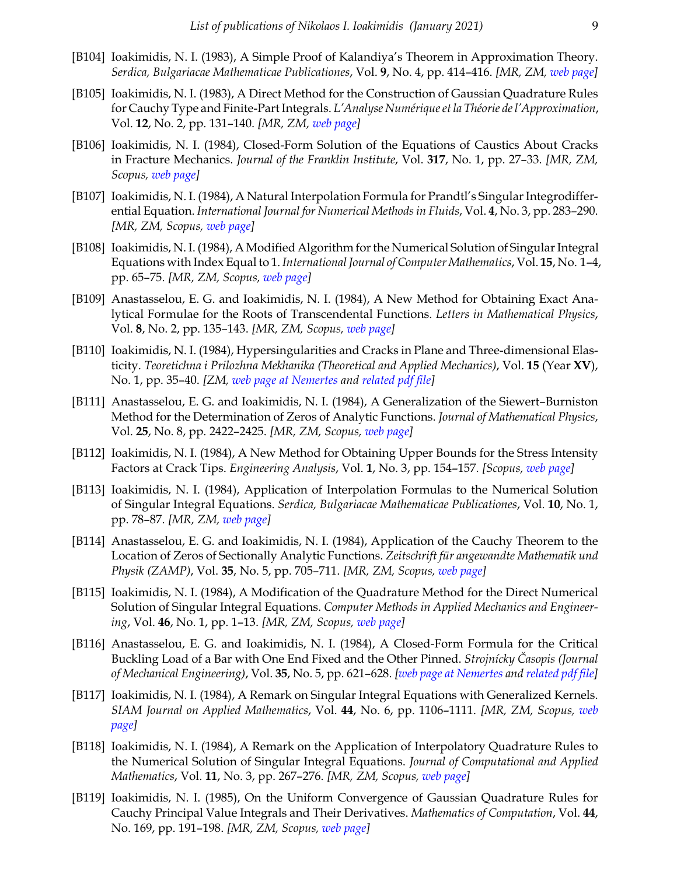- [B104] Ioakimidis, N. I. (1983), A Simple Proof of Kalandiya's Theorem in Approximation Theory. *Serdica, Bulgariacae Mathematicae Publicationes*, Vol. **9**, No. 4, pp. 414–416. *[MR, ZM, [web page\]](http://www.math.bas.bg/serdica/1983/1983-414-416.pdf)*
- [B105] Ioakimidis, N. I. (1983), A Direct Method for the Construction of Gaussian Quadrature Rules for Cauchy Type and Finite-Part Integrals. *L'Analyse Numérique et la Théorie de l'Approximation*, Vol. **12**, No. 2, pp. 131–140. *[MR, ZM, [web page\]](http://ictp.acad.ro/jnaat/journal/article/view/1983-vol12-no2-art4)*
- [B106] Ioakimidis, N. I. (1984), Closed-Form Solution of the Equations of Caustics About Cracks in Fracture Mechanics. *Journal of the Franklin Institute*, Vol. **317**, No. 1, pp. 27–33. *[MR, ZM, Scopus, [web page](https://doi.org/10.1016/0016-0032(84)90059-0)]*
- [B107] Ioakimidis, N. I. (1984), A Natural Interpolation Formula for Prandtl's Singular Integrodifferential Equation. *International Journal for Numerical Methods in Fluids*, Vol. **4**, No. 3, pp. 283–290. *[MR, ZM, Scopus, [web page\]](https://doi.org/10.1002/fld.1650040306)*
- [B108] Ioakimidis, N. I. (1984), A Modified Algorithm for the Numerical Solution of Singular Integral Equations with Index Equal to 1. *International Journal of Computer Mathematics*, Vol. **15**, No. 1–4, pp. 65–75. *[MR, ZM, Scopus, [web page](https://doi.org/10.1080/00207168408803402 )]*
- [B109] Anastasselou, E. G. and Ioakimidis, N. I. (1984), A New Method for Obtaining Exact Analytical Formulae for the Roots of Transcendental Functions. *Letters in Mathematical Physics*, Vol. **8**, No. 2, pp. 135–143. *[MR, ZM, Scopus, [web page\]](https://doi.org/10.1007/BF00406396)*
- [B110] Ioakimidis, N. I. (1984), Hypersingularities and Cracks in Plane and Three-dimensional Elasticity. *Teoretichna i Prilozhna Mekhanika (Theoretical and Applied Mechanics)*, Vol. **15** (Year **XV**), No. 1, pp. 35–40. *[ZM, [web page at Nemertes](http://nemertes.lis.upatras.gr/jspui/handle/10889/11154/?locale=en) and [related pdf file\]](http://nemertes.lis.upatras.gr/jspui/bitstream/10889/11154/1/TR-1982-B110.pdf)*
- [B111] Anastasselou, E. G. and Ioakimidis, N. I. (1984), A Generalization of the Siewert–Burniston Method for the Determination of Zeros of Analytic Functions. *Journal of Mathematical Physics*, Vol. **25**, No. 8, pp. 2422–2425. *[MR, ZM, Scopus, [web page](https://doi.org/10.1063/1.526448)]*
- [B112] Ioakimidis, N. I. (1984), A New Method for Obtaining Upper Bounds for the Stress Intensity Factors at Crack Tips. *Engineering Analysis*, Vol. **1**, No. 3, pp. 154–157. *[Scopus, [web page](https://doi.org/10.1016/0264-682X(84)90072-8)]*
- [B113] Ioakimidis, N. I. (1984), Application of Interpolation Formulas to the Numerical Solution of Singular Integral Equations. *Serdica, Bulgariacae Mathematicae Publicationes*, Vol. **10**, No. 1, pp. 78–87. *[MR, ZM, [web page\]](http://www.math.bas.bg/serdica/1984/1984-078-087.pdf)*
- [B114] Anastasselou, E. G. and Ioakimidis, N. I. (1984), Application of the Cauchy Theorem to the Location of Zeros of Sectionally Analytic Functions. *Zeitschrift für angewandte Mathematik und Physik (ZAMP)*, Vol. **35**, No. 5, pp. 705–711. *[MR, ZM, Scopus, [web page\]](https://doi.org/10.1007/BF00952115)*
- [B115] Ioakimidis, N. I. (1984), A Modification of the Quadrature Method for the Direct Numerical Solution of Singular Integral Equations. *Computer Methods in Applied Mechanics and Engineering*, Vol. **46**, No. 1, pp. 1–13. *[MR, ZM, Scopus, [web page\]](https://doi.org/10.1016/0045-7825(84)90126-9)*
- [B116] Anastasselou, E. G. and Ioakimidis, N. I. (1984), A Closed-Form Formula for the Critical Buckling Load of a Bar with One End Fixed and the Other Pinned. *Strojnícky Časopis (Journal of Mechanical Engineering)*, Vol. **35**, No. 5, pp. 621–628. *[[web page at Nemertes](http://nemertes.lis.upatras.gr/jspui/handle/10889/10987/?locale=en) and [related pdf file\]](http://nemertes.lis.upatras.gr/jspui/bitstream/10889/10987/1/TR-1983-Y142.pdf)*
- [B117] Ioakimidis, N. I. (1984), A Remark on Singular Integral Equations with Generalized Kernels. *SIAM Journal on Applied Mathematics*, Vol. **44**, No. 6, pp. 1106–1111. *[MR, ZM, Scopus, [web](https://doi.org/10.1137/0144079) [page\]](https://doi.org/10.1137/0144079)*
- [B118] Ioakimidis, N. I. (1984), A Remark on the Application of Interpolatory Quadrature Rules to the Numerical Solution of Singular Integral Equations. *Journal of Computational and Applied Mathematics*, Vol. **11**, No. 3, pp. 267–276. *[MR, ZM, Scopus, [web page\]](https://doi.org/10.1016/0377-0427(84)90001-3)*
- [B119] Ioakimidis, N. I. (1985), On the Uniform Convergence of Gaussian Quadrature Rules for Cauchy Principal Value Integrals and Their Derivatives. *Mathematics of Computation*, Vol. **44**, No. 169, pp. 191–198. *[MR, ZM, Scopus, [web page](https://doi.org/10.1090/S0025-5718-1985-0771040-8)]*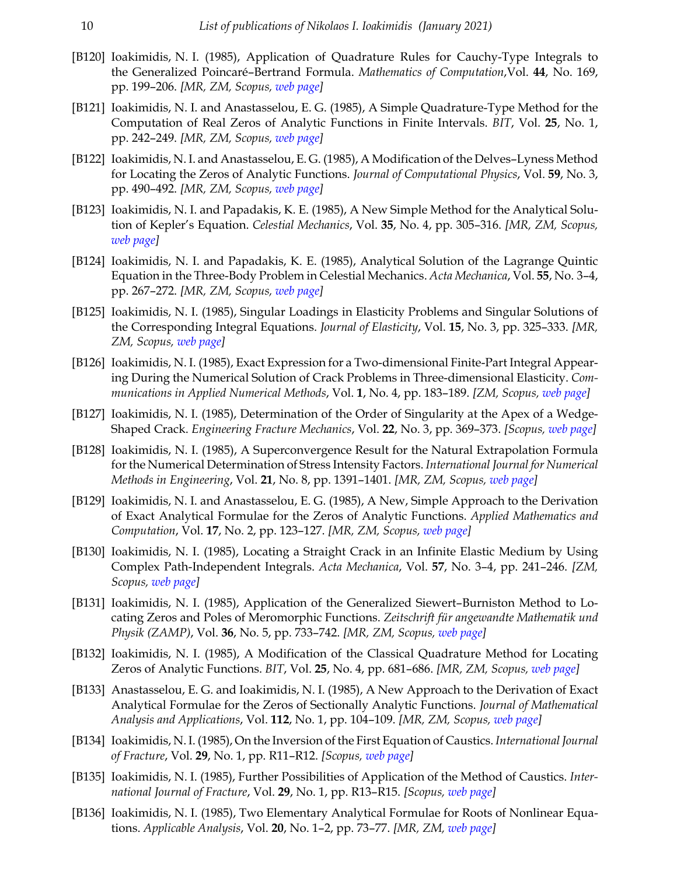- [B120] Ioakimidis, N. I. (1985), Application of Quadrature Rules for Cauchy-Type Integrals to the Generalized Poincaré–Bertrand Formula. *Mathematics of Computation*,Vol. **44**, No. 169, pp. 199–206. *[MR, ZM, Scopus, [web page](https://doi.org/10.1090/S0025-5718-1985-0771041-X)]*
- [B121] Ioakimidis, N. I. and Anastasselou, E. G. (1985), A Simple Quadrature-Type Method for the Computation of Real Zeros of Analytic Functions in Finite Intervals. *BIT*, Vol. **25**, No. 1, pp. 242–249. *[MR, ZM, Scopus, [web page](https://doi.org/10.1007/BF01935001)]*
- [B122] Ioakimidis, N. I. and Anastasselou, E. G. (1985), A Modification of the Delves–Lyness Method for Locating the Zeros of Analytic Functions. *Journal of Computational Physics*, Vol. **59**, No. 3, pp. 490–492. *[MR, ZM, Scopus, [web page](https://doi.org/10.1016/0021-9991(85)90125-1)]*
- [B123] Ioakimidis, N. I. and Papadakis, K. E. (1985), A New Simple Method for the Analytical Solution of Kepler's Equation. *Celestial Mechanics*, Vol. **35**, No. 4, pp. 305–316. *[MR, ZM, Scopus, [web page\]](https://doi.org/10.1007/BF01227827)*
- [B124] Ioakimidis, N. I. and Papadakis, K. E. (1985), Analytical Solution of the Lagrange Quintic Equation in the Three-Body Problem in Celestial Mechanics. *Acta Mechanica*, Vol. **55**, No. 3–4, pp. 267–272. *[MR, ZM, Scopus, [web page](https://doi.org/10.1007/BF01175807)]*
- [B125] Ioakimidis, N. I. (1985), Singular Loadings in Elasticity Problems and Singular Solutions of the Corresponding Integral Equations. *Journal of Elasticity*, Vol. **15**, No. 3, pp. 325–333. *[MR, ZM, Scopus, [web page](https://doi.org/10.1007/BF00041429)]*
- [B126] Ioakimidis, N. I. (1985), Exact Expression for a Two-dimensional Finite-Part Integral Appearing During the Numerical Solution of Crack Problems in Three-dimensional Elasticity. *Communications in Applied Numerical Methods*, Vol. **1**, No. 4, pp. 183–189. *[ZM, Scopus, [web page\]](https://doi.org/10.1002/cnm.1630010408)*
- [B127] Ioakimidis, N. I. (1985), Determination of the Order of Singularity at the Apex of a Wedge-Shaped Crack. *Engineering Fracture Mechanics*, Vol. **22**, No. 3, pp. 369–373. *[Scopus, [web page](https://doi.org/10.1016/0013-7944(85)90138-9)]*
- [B128] Ioakimidis, N. I. (1985), A Superconvergence Result for the Natural Extrapolation Formula for the Numerical Determination of Stress Intensity Factors. *International Journal for Numerical Methods in Engineering*, Vol. **21**, No. 8, pp. 1391–1401. *[MR, ZM, Scopus, [web page\]](https://doi.org/10.1002/nme.1620210804)*
- [B129] Ioakimidis, N. I. and Anastasselou, E. G. (1985), A New, Simple Approach to the Derivation of Exact Analytical Formulae for the Zeros of Analytic Functions. *Applied Mathematics and Computation*, Vol. **17**, No. 2, pp. 123–127. *[MR, ZM, Scopus, [web page\]](https://doi.org/10.1016/0096-3003(85)90022-0)*
- [B130] Ioakimidis, N. I. (1985), Locating a Straight Crack in an Infinite Elastic Medium by Using Complex Path-Independent Integrals. *Acta Mechanica*, Vol. **57**, No. 3–4, pp. 241–246. *[ZM, Scopus, [web page](https://doi.org/10.1007/BF01176921)]*
- [B131] Ioakimidis, N. I. (1985), Application of the Generalized Siewert–Burniston Method to Locating Zeros and Poles of Meromorphic Functions. *Zeitschrift für angewandte Mathematik und Physik (ZAMP)*, Vol. **36**, No. 5, pp. 733–742. *[MR, ZM, Scopus, [web page\]](https://doi.org/10.1007/BF00960384)*
- [B132] Ioakimidis, N. I. (1985), A Modification of the Classical Quadrature Method for Locating Zeros of Analytic Functions. *BIT*, Vol. **25**, No. 4, pp. 681–686. *[MR, ZM, Scopus, [web page\]](https://doi.org/10.1007/BF01936146)*
- [B133] Anastasselou, E. G. and Ioakimidis, N. I. (1985), A New Approach to the Derivation of Exact Analytical Formulae for the Zeros of Sectionally Analytic Functions. *Journal of Mathematical Analysis and Applications*, Vol. **112**, No. 1, pp. 104–109. *[MR, ZM, Scopus, [web page\]](https://doi.org/10.1016/0022-247X(85)90277-X)*
- [B134] Ioakimidis, N. I. (1985), On the Inversion of the First Equation of Caustics. *International Journal of Fracture*, Vol. **29**, No. 1, pp. R11–R12. *[Scopus, [web page\]](https://doi.org/10.1007/BF00020678)*
- [B135] Ioakimidis, N. I. (1985), Further Possibilities of Application of the Method of Caustics. *International Journal of Fracture*, Vol. **29**, No. 1, pp. R13–R15. *[Scopus, [web page](https://doi.org/10.1007/BF00020679)]*
- [B136] Ioakimidis, N. I. (1985), Two Elementary Analytical Formulae for Roots of Nonlinear Equations. *Applicable Analysis*, Vol. **20**, No. 1–2, pp. 73–77. *[MR, ZM, [web page](https://doi.org/10.1080/00036818508839559)]*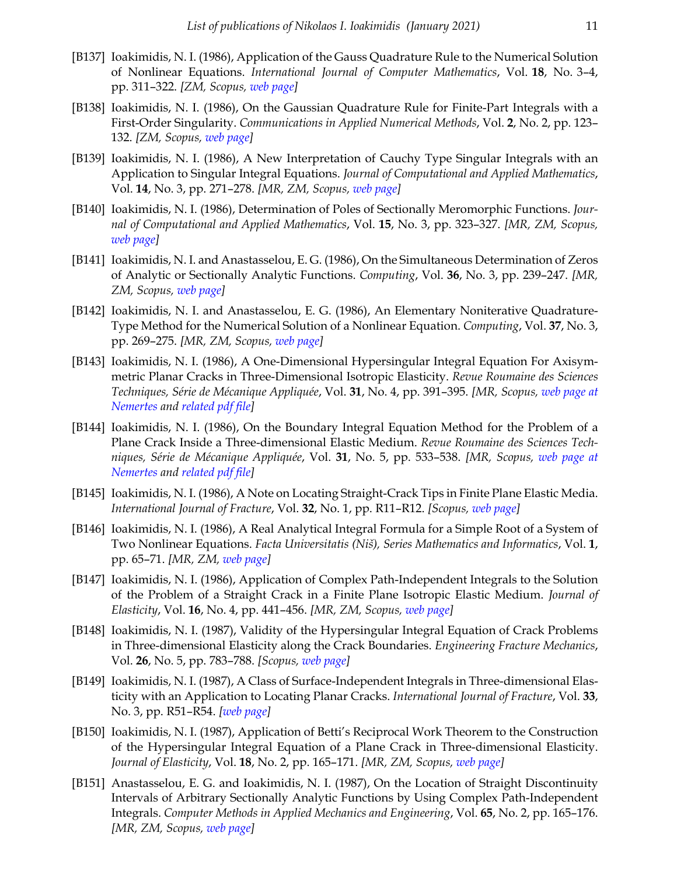- [B137] Ioakimidis, N. I. (1986), Application of the Gauss Quadrature Rule to the Numerical Solution of Nonlinear Equations. *International Journal of Computer Mathematics*, Vol. **18**, No. 3–4, pp. 311–322. *[ZM, Scopus, [web page](https://doi.org/10.1080/00207168608803497 )]*
- [B138] Ioakimidis, N. I. (1986), On the Gaussian Quadrature Rule for Finite-Part Integrals with a First-Order Singularity. *Communications in Applied Numerical Methods*, Vol. **2**, No. 2, pp. 123– 132. *[ZM, Scopus, [web page\]](https://doi.org/10.1002/cnm.1630020202)*
- [B139] Ioakimidis, N. I. (1986), A New Interpretation of Cauchy Type Singular Integrals with an Application to Singular Integral Equations. *Journal of Computational and Applied Mathematics*, Vol. **14**, No. 3, pp. 271–278. *[MR, ZM, Scopus, [web page](https://doi.org/10.1016/0377-0427(86)90065-8)]*
- [B140] Ioakimidis, N. I. (1986), Determination of Poles of Sectionally Meromorphic Functions. *Journal of Computational and Applied Mathematics*, Vol. **15**, No. 3, pp. 323–327. *[MR, ZM, Scopus, [web page\]](https://doi.org/10.1016/0377-0427(86)90223-2)*
- [B141] Ioakimidis, N. I. and Anastasselou, E. G. (1986), On the Simultaneous Determination of Zeros of Analytic or Sectionally Analytic Functions. *Computing*, Vol. **36**, No. 3, pp. 239–247. *[MR, ZM, Scopus, [web page](https://doi.org/10.1007/BF02240070)]*
- [B142] Ioakimidis, N. I. and Anastasselou, E. G. (1986), An Elementary Noniterative Quadrature-Type Method for the Numerical Solution of a Nonlinear Equation. *Computing*, Vol. **37**, No. 3, pp. 269–275. *[MR, ZM, Scopus, [web page](https://doi.org/10.1007/BF02252519)]*
- [B143] Ioakimidis, N. I. (1986), A One-Dimensional Hypersingular Integral Equation For Axisymmetric Planar Cracks in Three-Dimensional Isotropic Elasticity. *Revue Roumaine des Sciences Techniques, Série de Mécanique Appliquée*, Vol. **31**, No. 4, pp. 391–395. *[MR, Scopus, [web page at](http://nemertes.lis.upatras.gr/jspui/handle/10889/11153/?locale=en) [Nemertes](http://nemertes.lis.upatras.gr/jspui/handle/10889/11153/?locale=en) and [related pdf file\]](http://nemertes.lis.upatras.gr/jspui/bitstream/10889/11153/1/TR-1984-B143.pdf)*
- [B144] Ioakimidis, N. I. (1986), On the Boundary Integral Equation Method for the Problem of a Plane Crack Inside a Three-dimensional Elastic Medium. *Revue Roumaine des Sciences Techniques, Série de Mécanique Appliquée*, Vol. **31**, No. 5, pp. 533–538. *[MR, Scopus, [web page at](http://nemertes.lis.upatras.gr/jspui/handle/10889/11151/?locale=en) [Nemertes](http://nemertes.lis.upatras.gr/jspui/handle/10889/11151/?locale=en) and [related pdf file\]](http://nemertes.lis.upatras.gr/jspui/bitstream/10889/11151/1/TR-1985-B144.pdf)*
- [B145] Ioakimidis, N. I. (1986), A Note on Locating Straight-Crack Tips in Finite Plane Elastic Media. *International Journal of Fracture*, Vol. **32**, No. 1, pp. R11–R12. *[Scopus, [web page](http://link.springer.com/article/10.1007%2FBF00045896)]*
- [B146] Ioakimidis, N. I. (1986), A Real Analytical Integral Formula for a Simple Root of a System of Two Nonlinear Equations. *Facta Universitatis (Niš), Series Mathematics and Informatics*, Vol. **1**, pp. 65–71. *[MR, ZM, [web page\]](http://elibrary.matf.bg.ac.rs/bitstream/handle/123456789/2509/FU%20FR.pdf?sequence=1#page=62)*
- [B147] Ioakimidis, N. I. (1986), Application of Complex Path-Independent Integrals to the Solution of the Problem of a Straight Crack in a Finite Plane Isotropic Elastic Medium. *Journal of Elasticity*, Vol. **16**, No. 4, pp. 441–456. *[MR, ZM, Scopus, [web page\]](https://doi.org/10.1007/BF00041767)*
- [B148] Ioakimidis, N. I. (1987), Validity of the Hypersingular Integral Equation of Crack Problems in Three-dimensional Elasticity along the Crack Boundaries. *Engineering Fracture Mechanics*, Vol. **26**, No. 5, pp. 783–788. *[Scopus, [web page](https://doi.org/10.1016/0013-7944(87)90141-X)]*
- [B149] Ioakimidis, N. I. (1987), A Class of Surface-Independent Integrals in Three-dimensional Elasticity with an Application to Locating Planar Cracks. *International Journal of Fracture*, Vol. **33**, No. 3, pp. R51–R54. *[[web page](https://doi.org/10.1007/BF00013175)]*
- [B150] Ioakimidis, N. I. (1987), Application of Betti's Reciprocal Work Theorem to the Construction of the Hypersingular Integral Equation of a Plane Crack in Three-dimensional Elasticity. *Journal of Elasticity*, Vol. **18**, No. 2, pp. 165–171. *[MR, ZM, Scopus, [web page\]](https://doi.org/10.1007/BF00127555)*
- [B151] Anastasselou, E. G. and Ioakimidis, N. I. (1987), On the Location of Straight Discontinuity Intervals of Arbitrary Sectionally Analytic Functions by Using Complex Path-Independent Integrals. *Computer Methods in Applied Mechanics and Engineering*, Vol. **65**, No. 2, pp. 165–176. *[MR, ZM, Scopus, [web page\]](https://doi.org/10.1016/0045-7825(87)90011-9)*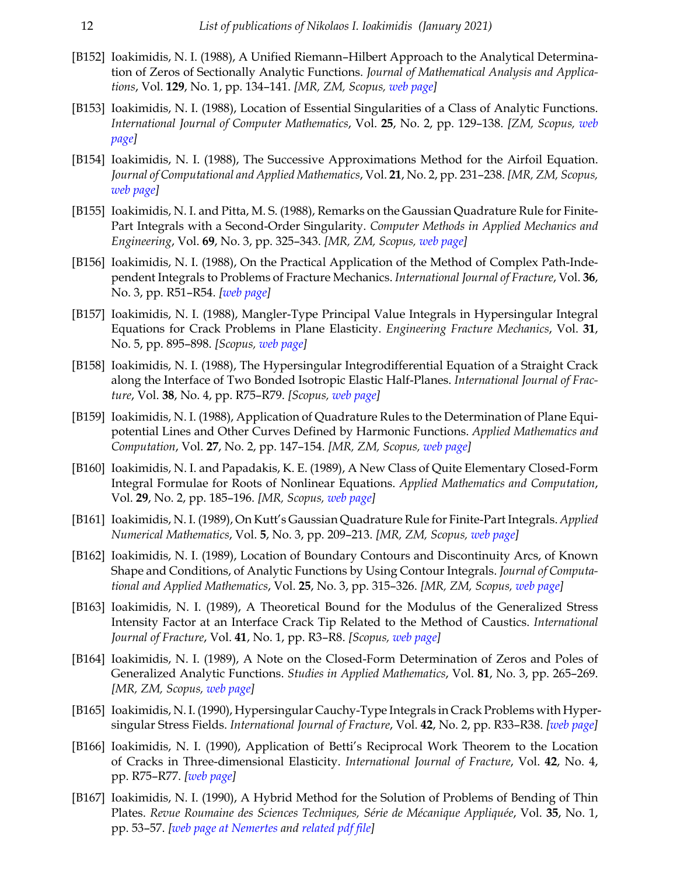- [B152] Ioakimidis, N. I. (1988), A Unified Riemann-Hilbert Approach to the Analytical Determination of Zeros of Sectionally Analytic Functions. *Journal of Mathematical Analysis and Applications*, Vol. **129**, No. 1, pp. 134–141. *[MR, ZM, Scopus, [web page\]](https://doi.org/10.1016/0022-247X(88)90238-7)*
- [B153] Ioakimidis, N. I. (1988), Location of Essential Singularities of a Class of Analytic Functions. *International Journal of Computer Mathematics*, Vol. **25**, No. 2, pp. 129–138. *[ZM, Scopus, [web](https://doi.org/10.1080/00207168808803666) [page\]](https://doi.org/10.1080/00207168808803666)*
- [B154] Ioakimidis, N. I. (1988), The Successive Approximations Method for the Airfoil Equation. *Journal of Computational and Applied Mathematics*, Vol. **21**, No. 2, pp. 231–238. *[MR, ZM, Scopus, [web page\]](https://doi.org/10.1016/0377-0427(88)90271-3)*
- [B155] Ioakimidis, N. I. and Pitta, M. S. (1988), Remarks on the Gaussian Quadrature Rule for Finite-Part Integrals with a Second-Order Singularity. *Computer Methods in Applied Mechanics and Engineering*, Vol. **69**, No. 3, pp. 325–343. *[MR, ZM, Scopus, [web page](https://doi.org/10.1016/0045-7825(88)90045-X)]*
- [B156] Ioakimidis, N. I. (1988), On the Practical Application of the Method of Complex Path-Independent Integrals to Problems of Fracture Mechanics. *International Journal of Fracture*, Vol. **36**, No. 3, pp. R51–R54. *[[web page](http://link.springer.com/article/10.1007%2FBF00035104)]*
- [B157] Ioakimidis, N. I. (1988), Mangler-Type Principal Value Integrals in Hypersingular Integral Equations for Crack Problems in Plane Elasticity. *Engineering Fracture Mechanics*, Vol. **31**, No. 5, pp. 895–898. *[Scopus, [web page](https://doi.org/10.1016/0013-7944(88)90245-7)]*
- [B158] Ioakimidis, N. I. (1988), The Hypersingular Integrodifferential Equation of a Straight Crack along the Interface of Two Bonded Isotropic Elastic Half-Planes. *International Journal of Fracture*, Vol. **38**, No. 4, pp. R75–R79. *[Scopus, [web page\]](http://link.springer.com/article/10.1007%2FBF00019808)*
- [B159] Ioakimidis, N. I. (1988), Application of Quadrature Rules to the Determination of Plane Equipotential Lines and Other Curves Defined by Harmonic Functions. *Applied Mathematics and Computation*, Vol. **27**, No. 2, pp. 147–154. *[MR, ZM, Scopus, [web page\]](https://doi.org/10.1016/0096-3003(88)90025-2)*
- [B160] Ioakimidis, N. I. and Papadakis, K. E. (1989), A New Class of Quite Elementary Closed-Form Integral Formulae for Roots of Nonlinear Equations. *Applied Mathematics and Computation*, Vol. **29**, No. 2, pp. 185–196. *[MR, Scopus, [web page](https://doi.org/10.1016/0096-3003(89)90101-X)]*
- [B161] Ioakimidis, N. I. (1989), On Kutt's Gaussian Quadrature Rule for Finite-Part Integrals. *Applied Numerical Mathematics*, Vol. **5**, No. 3, pp. 209–213. *[MR, ZM, Scopus, [web page](https://doi.org/10.1016/0168-9274(89)90034-2)]*
- [B162] Ioakimidis, N. I. (1989), Location of Boundary Contours and Discontinuity Arcs, of Known Shape and Conditions, of Analytic Functions by Using Contour Integrals. *Journal of Computational and Applied Mathematics*, Vol. **25**, No. 3, pp. 315–326. *[MR, ZM, Scopus, [web page](https://doi.org/10.1016/0377-0427(89)90035-6)]*
- [B163] Ioakimidis, N. I. (1989), A Theoretical Bound for the Modulus of the Generalized Stress Intensity Factor at an Interface Crack Tip Related to the Method of Caustics. *International Journal of Fracture*, Vol. **41**, No. 1, pp. R3–R8. *[Scopus, [web page](https://doi.org/10.1007/BF00014838)]*
- [B164] Ioakimidis, N. I. (1989), A Note on the Closed-Form Determination of Zeros and Poles of Generalized Analytic Functions. *Studies in Applied Mathematics*, Vol. **81**, No. 3, pp. 265–269. *[MR, ZM, Scopus, [web page\]](https://doi.org/10.1002/sapm1989813265)*
- [B165] Ioakimidis, N. I. (1990), Hypersingular Cauchy-Type Integrals in Crack Problems with Hypersingular Stress Fields. *International Journal of Fracture*, Vol. **42**, No. 2, pp. R33–R38. *[[web page\]](https://doi.org/10.1007/BF00018389)*
- [B166] Ioakimidis, N. I. (1990), Application of Betti's Reciprocal Work Theorem to the Location of Cracks in Three-dimensional Elasticity. *International Journal of Fracture*, Vol. **42**, No. 4, pp. R75–R77. *[\[web page](https://doi.org/10.1007/BF01185962)]*
- [B167] Ioakimidis, N. I. (1990), A Hybrid Method for the Solution of Problems of Bending of Thin Plates. *Revue Roumaine des Sciences Techniques, Série de Mécanique Appliquée*, Vol. **35**, No. 1, pp. 53–57. *[[web page at Nemertes](http://nemertes.lis.upatras.gr/jspui/handle/10889/11099/?locale=en) and [related pdf file\]](http://nemertes.lis.upatras.gr/jspui/bitstream/10889/11099/1/TR-1989-B167.pdf)*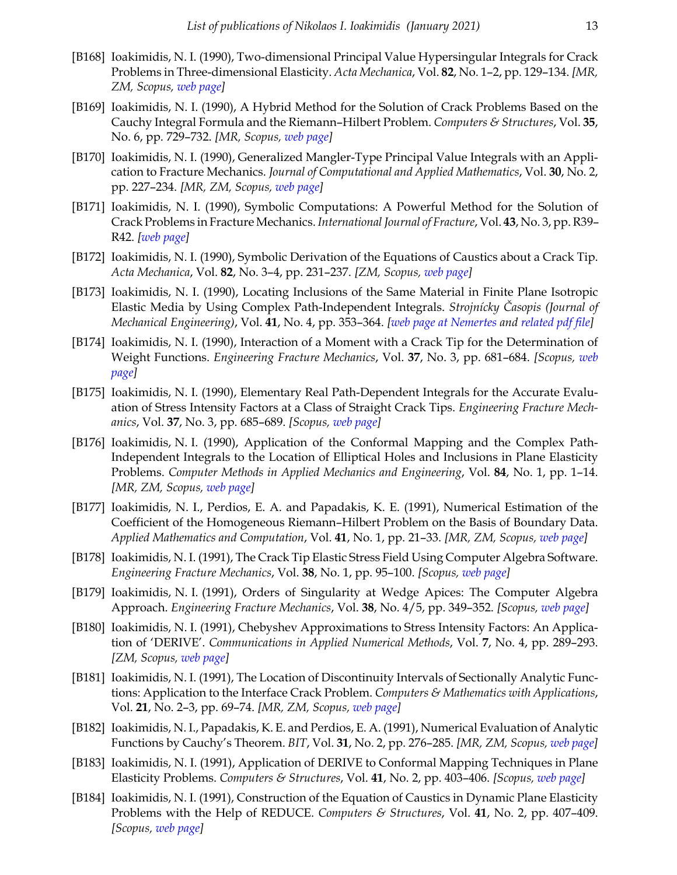- [B168] Ioakimidis, N. I. (1990), Two-dimensional Principal Value Hypersingular Integrals for Crack Problems in Three-dimensional Elasticity. *Acta Mechanica*, Vol. **82**, No. 1–2, pp. 129–134. *[MR, ZM, Scopus, [web page](https://doi.org/10.1007/BF01173742)]*
- [B169] Ioakimidis, N. I. (1990), A Hybrid Method for the Solution of Crack Problems Based on the Cauchy Integral Formula and the Riemann–Hilbert Problem. *Computers & Structures*, Vol. **35**, No. 6, pp. 729–732. *[MR, Scopus, [web page](https://doi.org/10.1016/0045-7949(90)90418-2)]*
- [B170] Ioakimidis, N. I. (1990), Generalized Mangler-Type Principal Value Integrals with an Application to Fracture Mechanics. *Journal of Computational and Applied Mathematics*, Vol. **30**, No. 2, pp. 227–234. *[MR, ZM, Scopus, [web page](https://doi.org/10.1016/0377-0427(90)90030-4)]*
- [B171] Ioakimidis, N. I. (1990), Symbolic Computations: A Powerful Method for the Solution of Crack Problems in Fracture Mechanics. *International Journal of Fracture*, Vol. **43**, No. 3, pp. R39– R42. *[[web page\]](https://doi.org/10.1007/BF00018346)*
- [B172] Ioakimidis, N. I. (1990), Symbolic Derivation of the Equations of Caustics about a Crack Tip. *Acta Mechanica*, Vol. **82**, No. 3–4, pp. 231–237. *[ZM, Scopus, [web page\]](https://doi.org/10.1007/BF01173631)*
- [B173] Ioakimidis, N. I. (1990), Locating Inclusions of the Same Material in Finite Plane Isotropic Elastic Media by Using Complex Path-Independent Integrals. *Strojnícky Časopis (Journal of Mechanical Engineering)*, Vol. **41**, No. 4, pp. 353–364. *[[web page at Nemertes](http://nemertes.lis.upatras.gr/jspui/handle/10889/10988/?locale=en) and [related pdf file\]](http://nemertes.lis.upatras.gr/jspui/bitstream/10889/10988/1/TR-1989-Y178.pdf)*
- [B174] Ioakimidis, N. I. (1990), Interaction of a Moment with a Crack Tip for the Determination of Weight Functions. *Engineering Fracture Mechanics*, Vol. **37**, No. 3, pp. 681–684. *[Scopus, [web](https://doi.org/10.1016/0013-7944(90)90391-S) [page\]](https://doi.org/10.1016/0013-7944(90)90391-S)*
- [B175] Ioakimidis, N. I. (1990), Elementary Real Path-Dependent Integrals for the Accurate Evaluation of Stress Intensity Factors at a Class of Straight Crack Tips. *Engineering Fracture Mechanics*, Vol. **37**, No. 3, pp. 685–689. *[Scopus, [web page](https://doi.org/10.1016/0013-7944(90)90392-T)]*
- [B176] Ioakimidis, N. I. (1990), Application of the Conformal Mapping and the Complex Path-Independent Integrals to the Location of Elliptical Holes and Inclusions in Plane Elasticity Problems. *Computer Methods in Applied Mechanics and Engineering*, Vol. **84**, No. 1, pp. 1–14. *[MR, ZM, Scopus, [web page\]](https://doi.org/10.1016/0045-7825(90)90086-2)*
- [B177] Ioakimidis, N. I., Perdios, E. A. and Papadakis, K. E. (1991), Numerical Estimation of the Coefficient of the Homogeneous Riemann–Hilbert Problem on the Basis of Boundary Data. *Applied Mathematics and Computation*, Vol. **41**, No. 1, pp. 21–33. *[MR, ZM, Scopus, [web page](https://doi.org/10.1016/0096-3003(91)90104-U)]*
- [B178] Ioakimidis, N. I. (1991), The Crack Tip Elastic Stress Field Using Computer Algebra Software. *Engineering Fracture Mechanics*, Vol. **38**, No. 1, pp. 95–100. *[Scopus, [web page](https://doi.org/10.1016/0013-7944(91)90210-R)]*
- [B179] Ioakimidis, N. I. (1991), Orders of Singularity at Wedge Apices: The Computer Algebra Approach. *Engineering Fracture Mechanics*, Vol. **38**, No. 4/5, pp. 349–352. *[Scopus, [web page\]](https://doi.org/10.1016/0013-7944(91)90014-R)*
- [B180] Ioakimidis, N. I. (1991), Chebyshev Approximations to Stress Intensity Factors: An Application of 'DERIVE'. *Communications in Applied Numerical Methods*, Vol. **7**, No. 4, pp. 289–293. *[ZM, Scopus, [web page\]](https://doi.org/10.1002/cnm.1630070406)*
- [B181] Ioakimidis, N. I. (1991), The Location of Discontinuity Intervals of Sectionally Analytic Functions: Application to the Interface Crack Problem. *Computers & Mathematics with Applications*, Vol. **21**, No. 2–3, pp. 69–74. *[MR, ZM, Scopus, [web page](https://doi.org/10.1016/0898-1221(91)90082-F)]*
- [B182] Ioakimidis, N. I., Papadakis, K. E. and Perdios, E. A. (1991), Numerical Evaluation of Analytic Functions by Cauchy's Theorem. *BIT*, Vol. **31**, No. 2, pp. 276–285. *[MR, ZM, Scopus, [web page\]](https://doi.org/10.1007/BF01931287)*
- [B183] Ioakimidis, N. I. (1991), Application of DERIVE to Conformal Mapping Techniques in Plane Elasticity Problems. *Computers & Structures*, Vol. **41**, No. 2, pp. 403–406. *[Scopus, [web page](https://doi.org/10.1016/0045-7949(91)90443-P)]*
- [B184] Ioakimidis, N. I. (1991), Construction of the Equation of Caustics in Dynamic Plane Elasticity Problems with the Help of REDUCE. *Computers & Structures*, Vol. **41**, No. 2, pp. 407–409. *[Scopus, [web page\]](https://doi.org/10.1016/0045-7949(91)90444-Q)*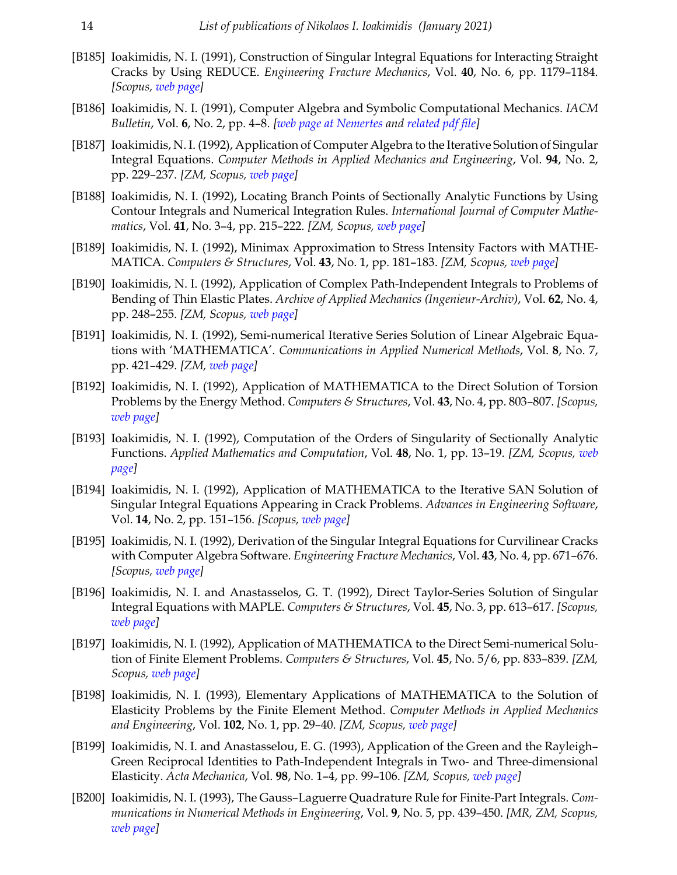- [B185] Ioakimidis, N. I. (1991), Construction of Singular Integral Equations for Interacting Straight Cracks by Using REDUCE. *Engineering Fracture Mechanics*, Vol. **40**, No. 6, pp. 1179–1184. *[Scopus, [web page\]](https://doi.org/10.1016/0013-7944(91)90180-9)*
- [B186] Ioakimidis, N. I. (1991), Computer Algebra and Symbolic Computational Mechanics. *IACM Bulletin*, Vol. **6**, No. 2, pp. 4–8. *[[web page at Nemertes](http://nemertes.lis.upatras.gr/jspui/handle/10889/10984/?locale=en) and [related pdf file\]](http://nemertes.lis.upatras.gr/jspui/bitstream/10889/10984/1/TR-1989-G21.pdf)*
- [B187] Ioakimidis, N. I. (1992), Application of Computer Algebra to the Iterative Solution of Singular Integral Equations. *Computer Methods in Applied Mechanics and Engineering*, Vol. **94**, No. 2, pp. 229–237. *[ZM, Scopus, [web page](https://doi.org/10.1016/0045-7825(92)90148-D)]*
- [B188] Ioakimidis, N. I. (1992), Locating Branch Points of Sectionally Analytic Functions by Using Contour Integrals and Numerical Integration Rules. *International Journal of Computer Mathematics*, Vol. **41**, No. 3–4, pp. 215–222. *[ZM, Scopus, [web page](https://doi.org/10.1080/00207169208804041)]*
- [B189] Ioakimidis, N. I. (1992), Minimax Approximation to Stress Intensity Factors with MATHE-MATICA. *Computers & Structures*, Vol. **43**, No. 1, pp. 181–183. *[ZM, Scopus, [web page\]](https://doi.org/10.1016/0045-7949(92)90093-F)*
- [B190] Ioakimidis, N. I. (1992), Application of Complex Path-Independent Integrals to Problems of Bending of Thin Elastic Plates. *Archive of Applied Mechanics (Ingenieur-Archiv)*, Vol. **62**, No. 4, pp. 248–255. *[ZM, Scopus, [web page](https://doi.org/10.1007/BF00804984)]*
- [B191] Ioakimidis, N. I. (1992), Semi-numerical Iterative Series Solution of Linear Algebraic Equations with 'MATHEMATICA'. *Communications in Applied Numerical Methods*, Vol. **8**, No. 7, pp. 421–429. *[ZM, [web page](https://doi.org/10.1002/cnm.1630080702)]*
- [B192] Ioakimidis, N. I. (1992), Application of MATHEMATICA to the Direct Solution of Torsion Problems by the Energy Method. *Computers & Structures*, Vol. **43**, No. 4, pp. 803–807. *[Scopus, [web page\]](https://doi.org/10.1016/0045-7949(92)90525-5)*
- [B193] Ioakimidis, N. I. (1992), Computation of the Orders of Singularity of Sectionally Analytic Functions. *Applied Mathematics and Computation*, Vol. **48**, No. 1, pp. 13–19. *[ZM, Scopus, [web](https://doi.org/10.1016/0096-3003(92)90015-S) [page\]](https://doi.org/10.1016/0096-3003(92)90015-S)*
- [B194] Ioakimidis, N. I. (1992), Application of MATHEMATICA to the Iterative SAN Solution of Singular Integral Equations Appearing in Crack Problems. *Advances in Engineering Software*, Vol. **14**, No. 2, pp. 151–156. *[Scopus, [web page](https://doi.org/10.1016/0965-9978(92)90061-J)]*
- [B195] Ioakimidis, N. I. (1992), Derivation of the Singular Integral Equations for Curvilinear Cracks with Computer Algebra Software. *Engineering Fracture Mechanics*, Vol. **43**, No. 4, pp. 671–676. *[Scopus, [web page\]](https://doi.org/10.1016/0013-7944(92)90209-W)*
- [B196] Ioakimidis, N. I. and Anastasselos, G. T. (1992), Direct Taylor-Series Solution of Singular Integral Equations with MAPLE. *Computers & Structures*, Vol. **45**, No. 3, pp. 613–617. *[Scopus, [web page\]](https://doi.org/10.1016/0045-7949(92)90446-7)*
- [B197] Ioakimidis, N. I. (1992), Application of MATHEMATICA to the Direct Semi-numerical Solution of Finite Element Problems. *Computers & Structures*, Vol. **45**, No. 5/6, pp. 833–839. *[ZM, Scopus, [web page](https://doi.org/10.1016/0045-7949(92)90043-Y)]*
- [B198] Ioakimidis, N. I. (1993), Elementary Applications of MATHEMATICA to the Solution of Elasticity Problems by the Finite Element Method. *Computer Methods in Applied Mechanics and Engineering*, Vol. **102**, No. 1, pp. 29–40. *[ZM, Scopus, [web page\]](https://doi.org/10.1016/0045-7825(93)90139-O)*
- [B199] Ioakimidis, N. I. and Anastasselou, E. G. (1993), Application of the Green and the Rayleigh– Green Reciprocal Identities to Path-Independent Integrals in Two- and Three-dimensional Elasticity. *Acta Mechanica*, Vol. **98**, No. 1–4, pp. 99–106. *[ZM, Scopus, [web page](https://doi.org/10.1007/BF01174296)]*
- [B200] Ioakimidis, N. I. (1993), The Gauss–Laguerre Quadrature Rule for Finite-Part Integrals. *Communications in Numerical Methods in Engineering*, Vol. **9**, No. 5, pp. 439–450. *[MR, ZM, Scopus, [web page\]](https://doi.org/10.1002/cnm.1640090509)*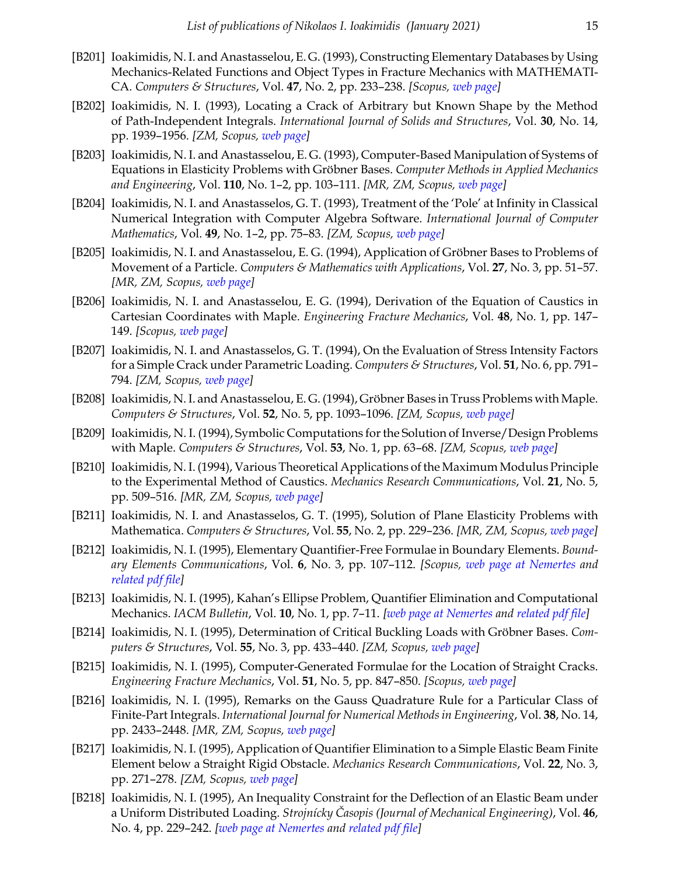- [B201] Ioakimidis, N. I. and Anastasselou, E. G. (1993), Constructing Elementary Databases by Using Mechanics-Related Functions and Object Types in Fracture Mechanics with MATHEMATI-CA. *Computers & Structures*, Vol. **47**, No. 2, pp. 233–238. *[Scopus, [web page\]](https://doi.org/10.1016/0045-7949(93)90371-J)*
- [B202] Ioakimidis, N. I. (1993), Locating a Crack of Arbitrary but Known Shape by the Method of Path-Independent Integrals. *International Journal of Solids and Structures*, Vol. **30**, No. 14, pp. 1939–1956. *[ZM, Scopus, [web page\]](https://doi.org/10.1016/0020-7683(93)90226-W)*
- [B203] Ioakimidis, N. I. and Anastasselou, E. G. (1993), Computer-Based Manipulation of Systems of Equations in Elasticity Problems with Gröbner Bases. *Computer Methods in Applied Mechanics and Engineering*, Vol. **110**, No. 1–2, pp. 103–111. *[MR, ZM, Scopus, [web page\]](https://doi.org/10.1016/0045-7825(93)90022-P)*
- [B204] Ioakimidis, N. I. and Anastasselos, G. T. (1993), Treatment of the 'Pole' at Infinity in Classical Numerical Integration with Computer Algebra Software. *International Journal of Computer Mathematics*, Vol. **49**, No. 1–2, pp. 75–83. *[ZM, Scopus, [web page\]](https://doi.org/10.1080/00207169308804218)*
- [B205] Ioakimidis, N. I. and Anastasselou, E. G. (1994), Application of Gröbner Bases to Problems of Movement of a Particle. *Computers & Mathematics with Applications*, Vol. **27**, No. 3, pp. 51–57. *[MR, ZM, Scopus, [web page\]](https://doi.org/10.1016/0898-1221(94)90046-9)*
- [B206] Ioakimidis, N. I. and Anastasselou, E. G. (1994), Derivation of the Equation of Caustics in Cartesian Coordinates with Maple. *Engineering Fracture Mechanics*, Vol. **48**, No. 1, pp. 147– 149. *[Scopus, [web page\]](https://doi.org/10.1016/0013-7944(94)90151-1)*
- [B207] Ioakimidis, N. I. and Anastasselos, G. T. (1994), On the Evaluation of Stress Intensity Factors for a Simple Crack under Parametric Loading. *Computers & Structures*, Vol. **51**, No. 6, pp. 791– 794. *[ZM, Scopus, [web page\]](https://doi.org/10.1016/S0045-7949(05)80019-7)*
- [B208] Ioakimidis, N. I. and Anastasselou, E. G. (1994), Gröbner Bases in Truss Problems with Maple. *Computers & Structures*, Vol. **52**, No. 5, pp. 1093–1096. *[ZM, Scopus, [web page\]](https://doi.org/10.1016/0045-7949(94)90093-0 )*
- [B209] Ioakimidis, N. I. (1994), Symbolic Computations for the Solution of Inverse/Design Problems with Maple. *Computers & Structures*, Vol. **53**, No. 1, pp. 63–68. *[ZM, Scopus, [web page](https://doi.org/10.1016/0045-7949(94)90130-9)]*
- [B210] Ioakimidis, N. I. (1994), Various Theoretical Applications of the Maximum Modulus Principle to the Experimental Method of Caustics. *Mechanics Research Communications*, Vol. **21**, No. 5, pp. 509–516. *[MR, ZM, Scopus, [web page](https://doi.org/10.1016/0093-6413(94)90046-9)]*
- [B211] Ioakimidis, N. I. and Anastasselos, G. T. (1995), Solution of Plane Elasticity Problems with Mathematica. *Computers & Structures*, Vol. **55**, No. 2, pp. 229–236. *[MR, ZM, Scopus, [web page\]](https://doi.org/10.1016/0045-7949(94)00467-H)*
- [B212] Ioakimidis, N. I. (1995), Elementary Quantifier-Free Formulae in Boundary Elements. *Boundary Elements Communications*, Vol. **6**, No. 3, pp. 107–112. *[Scopus, [web page at Nemertes](http://nemertes.lis.upatras.gr/jspui/handle/10889/10986/?locale=en) and [related pdf file](http://nemertes.lis.upatras.gr/jspui/bitstream/10889/10986/1/TR-1994-M10.pdf)]*
- [B213] Ioakimidis, N. I. (1995), Kahan's Ellipse Problem, Quantifier Elimination and Computational Mechanics. *IACM Bulletin*, Vol. **10**, No. 1, pp. 7–11. *[\[web page at Nemertes](http://nemertes.lis.upatras.gr/jspui/handle/10889/10985/?locale=en) and [related pdf file\]](http://nemertes.lis.upatras.gr/jspui/bitstream/10889/10985/1/TR-1994-M9.pdf)*
- [B214] Ioakimidis, N. I. (1995), Determination of Critical Buckling Loads with Gröbner Bases. *Computers & Structures*, Vol. **55**, No. 3, pp. 433–440. *[ZM, Scopus, [web page](https://doi.org/10.1016/0045-7949(95)98869-R)]*
- [B215] Ioakimidis, N. I. (1995), Computer-Generated Formulae for the Location of Straight Cracks. *Engineering Fracture Mechanics*, Vol. **51**, No. 5, pp. 847–850. *[Scopus, [web page\]](https://doi.org/10.1016/0013-7944(94)00324-B)*
- [B216] Ioakimidis, N. I. (1995), Remarks on the Gauss Quadrature Rule for a Particular Class of Finite-Part Integrals. *International Journal for Numerical Methods in Engineering*, Vol. **38**, No. 14, pp. 2433–2448. *[MR, ZM, Scopus, [web page\]](https://doi.org/10.1002/nme.1620381408)*
- [B217] Ioakimidis, N. I. (1995), Application of Quantifier Elimination to a Simple Elastic Beam Finite Element below a Straight Rigid Obstacle. *Mechanics Research Communications*, Vol. **22**, No. 3, pp. 271–278. *[ZM, Scopus, [web page](https://doi.org/10.1016/0093-6413(95)00023-K)]*
- [B218] Ioakimidis, N. I. (1995), An Inequality Constraint for the Deflection of an Elastic Beam under a Uniform Distributed Loading. *Strojnícky Časopis (Journal of Mechanical Engineering)*, Vol. **46**, No. 4, pp. 229–242. *[[web page at Nemertes](http://nemertes.lis.upatras.gr/jspui/handle/10889/11012/?locale=en) and [related pdf file\]](http://nemertes.lis.upatras.gr/jspui/bitstream/10889/11012/1/TR-1994-M13.pdf)*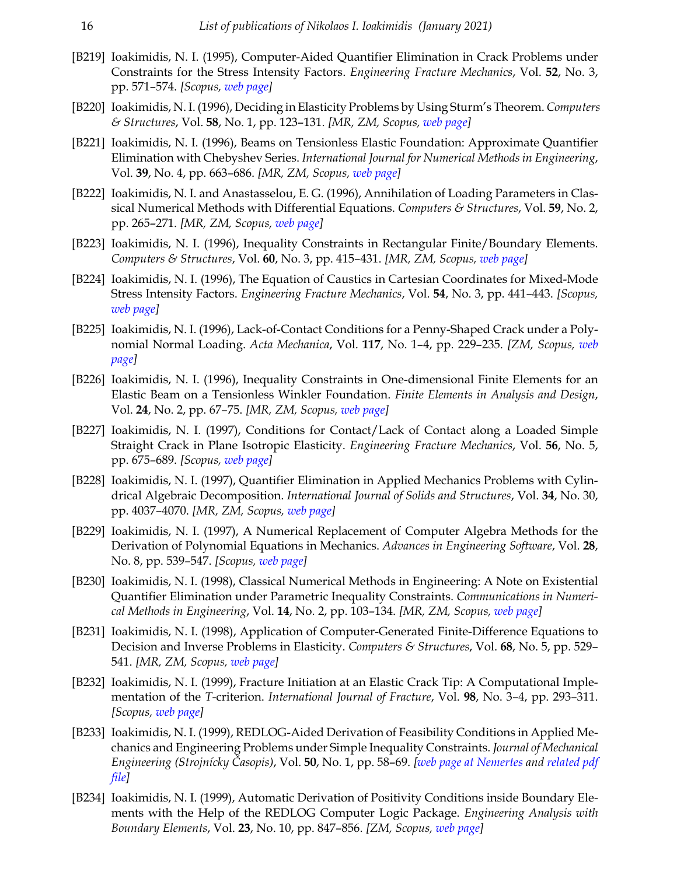- [B219] Ioakimidis, N. I. (1995), Computer-Aided Quantifier Elimination in Crack Problems under Constraints for the Stress Intensity Factors. *Engineering Fracture Mechanics*, Vol. **52**, No. 3, pp. 571–574. *[Scopus, [web page\]](https://doi.org/10.1016/0013-7944(95)00031-P)*
- [B220] Ioakimidis, N. I. (1996), Deciding in Elasticity Problems by Using Sturm's Theorem.*Computers & Structures*, Vol. **58**, No. 1, pp. 123–131. *[MR, ZM, Scopus, [web page\]](https://doi.org/10.1016/0045-7949(95)00124-Y)*
- [B221] Ioakimidis, N. I. (1996), Beams on Tensionless Elastic Foundation: Approximate Quantifier Elimination with Chebyshev Series. *International Journal for Numerical Methods in Engineering*, Vol. **39**, No. 4, pp. 663–686. *[MR, ZM, Scopus, [web page](https://doi.org/10.1002/(SICI)1097-0207(19960229)39:4<663::AID-NME875>3.0.CO;2-8)]*
- [B222] Ioakimidis, N. I. and Anastasselou, E. G. (1996), Annihilation of Loading Parameters in Classical Numerical Methods with Differential Equations. *Computers & Structures*, Vol. **59**, No. 2, pp. 265–271. *[MR, ZM, Scopus, [web page](https://doi.org/10.1016/0045-7949(95)00257-X)]*
- [B223] Ioakimidis, N. I. (1996), Inequality Constraints in Rectangular Finite/Boundary Elements. *Computers & Structures*, Vol. **60**, No. 3, pp. 415–431. *[MR, ZM, Scopus, [web page](https://doi.org/10.1016/0045-7949(95)00386-X)]*
- [B224] Ioakimidis, N. I. (1996), The Equation of Caustics in Cartesian Coordinates for Mixed-Mode Stress Intensity Factors. *Engineering Fracture Mechanics*, Vol. **54**, No. 3, pp. 441–443. *[Scopus, [web page\]](https://doi.org/10.1016/0013-7944(95)00208-1)*
- [B225] Ioakimidis, N. I. (1996), Lack-of-Contact Conditions for a Penny-Shaped Crack under a Polynomial Normal Loading. *Acta Mechanica*, Vol. **117**, No. 1–4, pp. 229–235. *[ZM, Scopus, [web](https://doi.org/10.1007/BF01181051) [page\]](https://doi.org/10.1007/BF01181051)*
- [B226] Ioakimidis, N. I. (1996), Inequality Constraints in One-dimensional Finite Elements for an Elastic Beam on a Tensionless Winkler Foundation. *Finite Elements in Analysis and Design*, Vol. **24**, No. 2, pp. 67–75. *[MR, ZM, Scopus, [web page](https://doi.org/10.1016/S0168-874X(96)00028-5 )]*
- [B227] Ioakimidis, N. I. (1997), Conditions for Contact/Lack of Contact along a Loaded Simple Straight Crack in Plane Isotropic Elasticity. *Engineering Fracture Mechanics*, Vol. **56**, No. 5, pp. 675–689. *[Scopus, [web page\]](https://doi.org/10.1016/S0013-7944(96)00125-7)*
- [B228] Ioakimidis, N. I. (1997), Quantifier Elimination in Applied Mechanics Problems with Cylindrical Algebraic Decomposition. *International Journal of Solids and Structures*, Vol. **34**, No. 30, pp. 4037–4070. *[MR, ZM, Scopus, [web page\]](https://doi.org/10.1016/S0020-7683(97)00002-4)*
- [B229] Ioakimidis, N. I. (1997), A Numerical Replacement of Computer Algebra Methods for the Derivation of Polynomial Equations in Mechanics. *Advances in Engineering Software*, Vol. **28**, No. 8, pp. 539–547. *[Scopus, [web page](https://doi.org/10.1016/S0965-9978(97)00032-X)]*
- [B230] Ioakimidis, N. I. (1998), Classical Numerical Methods in Engineering: A Note on Existential Quantifier Elimination under Parametric Inequality Constraints. *Communications in Numerical Methods in Engineering*, Vol. **14**, No. 2, pp. 103–134. *[MR, ZM, Scopus, [web page](https://doi.org/10.1002/(SICI)1099-0887(199802)14:2<103::AID-CNM133>3.0.CO;2-V)]*
- [B231] Ioakimidis, N. I. (1998), Application of Computer-Generated Finite-Difference Equations to Decision and Inverse Problems in Elasticity. *Computers & Structures*, Vol. **68**, No. 5, pp. 529– 541. *[MR, ZM, Scopus, [web page\]](https://doi.org/10.1016/S0045-7949(98)00061-3)*
- [B232] Ioakimidis, N. I. (1999), Fracture Initiation at an Elastic Crack Tip: A Computational Implementation of the *T*-criterion. *International Journal of Fracture*, Vol. **98**, No. 3–4, pp. 293–311. *[Scopus, [web page\]](https://doi.org/10.1023/A:1018662729282)*
- [B233] Ioakimidis, N. I. (1999), REDLOG-Aided Derivation of Feasibility Conditions in Applied Mechanics and Engineering Problems under Simple Inequality Constraints. *Journal of Mechanical Engineering (Strojnícky Časopis)*, Vol. **50**, No. 1, pp. 58–69. *[[web page at Nemertes](http://nemertes.lis.upatras.gr/jspui/handle/10889/11096/?locale=en) and [related pdf](http://nemertes.lis.upatras.gr/jspui/bitstream/10889/11096/1/TR-1998-O3.pdf) [file](http://nemertes.lis.upatras.gr/jspui/bitstream/10889/11096/1/TR-1998-O3.pdf)]*
- [B234] Ioakimidis, N. I. (1999), Automatic Derivation of Positivity Conditions inside Boundary Elements with the Help of the REDLOG Computer Logic Package. *Engineering Analysis with Boundary Elements*, Vol. **23**, No. 10, pp. 847–856. *[ZM, Scopus, [web page](https://doi.org/10.1016/S0955-7997(99)00049-1)]*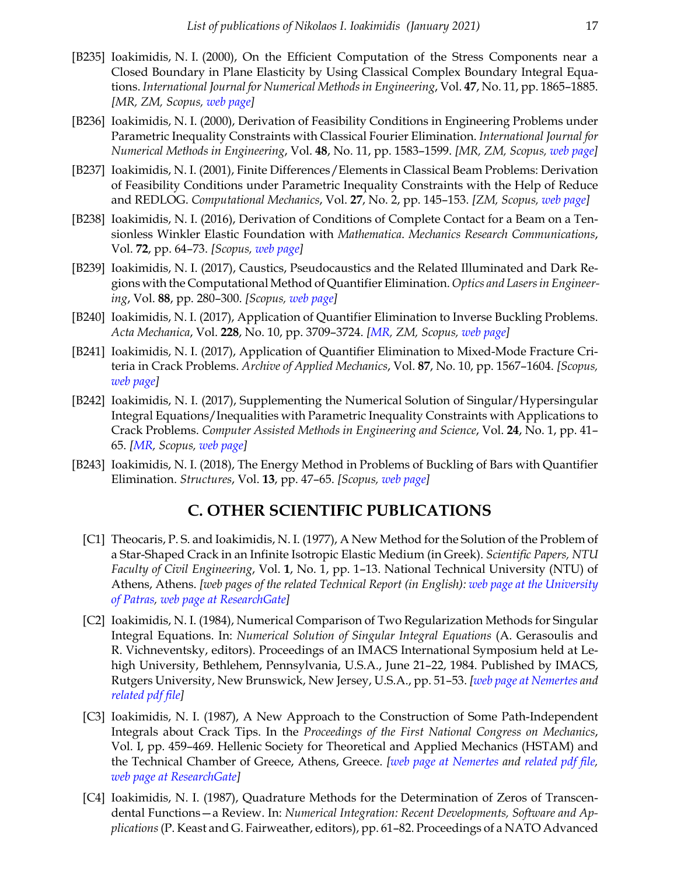- [B235] Ioakimidis, N. I. (2000), On the Efficient Computation of the Stress Components near a Closed Boundary in Plane Elasticity by Using Classical Complex Boundary Integral Equations. *International Journal for Numerical Methods in Engineering*, Vol. **47**, No. 11, pp. 1865–1885. *[MR, ZM, Scopus, [web page\]](https://doi.org/10.1002/(SICI)1097-0207(20000420)47:11<1865::AID-NME856>3.0.CO;2-I)*
- [B236] Ioakimidis, N. I. (2000), Derivation of Feasibility Conditions in Engineering Problems under Parametric Inequality Constraints with Classical Fourier Elimination. *International Journal for Numerical Methods in Engineering*, Vol. **48**, No. 11, pp. 1583–1599. *[MR, ZM, Scopus, [web page\]](https://doi.org/10.1002/1097-0207(20000820)48:11<1583::AID-NME962>3.0.CO;2-W)*
- [B237] Ioakimidis, N. I. (2001), Finite Differences/Elements in Classical Beam Problems: Derivation of Feasibility Conditions under Parametric Inequality Constraints with the Help of Reduce and REDLOG. *Computational Mechanics*, Vol. **27**, No. 2, pp. 145–153. *[ZM, Scopus, [web page](https://doi.org/10.1007/s004660000223)]*
- [B238] Ioakimidis, N. I. (2016), Derivation of Conditions of Complete Contact for a Beam on a Tensionless Winkler Elastic Foundation with *Mathematica*. *Mechanics Research Communications*, Vol. **72**, pp. 64–73. *[Scopus, [web page\]](https://doi.org/10.1016/j.mechrescom.2016.01.007)*
- [B239] Ioakimidis, N. I. (2017), Caustics, Pseudocaustics and the Related Illuminated and Dark Regions with the Computational Method of Quantifier Elimination. *Optics and Lasers in Engineering*, Vol. **88**, pp. 280–300. *[Scopus, [web page\]](https://doi.org/10.1016/j.optlaseng.2016.07.001)*
- [B240] Ioakimidis, N. I. (2017), Application of Quantifier Elimination to Inverse Buckling Problems. *Acta Mechanica*, Vol. **228**, No. 10, pp. 3709–3724. *[\[MR,](https://mathscinet.ams.org/mathscinet/pdf/3703494.pdf) ZM, Scopus, [web page\]](https://doi.org/10.1007/s00707-017-1905-5)*
- [B241] Ioakimidis, N. I. (2017), Application of Quantifier Elimination to Mixed-Mode Fracture Criteria in Crack Problems. *Archive of Applied Mechanics*, Vol. **87**, No. 10, pp. 1567–1604. *[Scopus, [web page\]](https://doi.org/10.1007/s00419-017-1274-5)*
- [B242] Ioakimidis, N. I. (2017), Supplementing the Numerical Solution of Singular/Hypersingular Integral Equations/Inequalities with Parametric Inequality Constraints with Applications to Crack Problems. *Computer Assisted Methods in Engineering and Science*, Vol. **24**, No. 1, pp. 41– 65. *[[MR](https://mathscinet.ams.org/mathscinet/pdf/3752581.pdf), Scopus, [web page](http://cames.ippt.gov.pl/index.php/cames/article/view/202)]*
- [B243] Ioakimidis, N. I. (2018), The Energy Method in Problems of Buckling of Bars with Quantifier Elimination. *Structures*, Vol. **13**, pp. 47–65. *[Scopus, [web page](https://doi.org/10.1016/j.istruc.2017.08.002)]*

#### **C. OTHER SCIENTIFIC PUBLICATIONS**

- [C1] Theocaris, P. S. and Ioakimidis, N. I. (1977), A New Method for the Solution of the Problem of a Star-Shaped Crack in an Infinite Isotropic Elastic Medium (in Greek). *Scientific Papers, NTU Faculty of Civil Engineering*, Vol. **1**, No. 1, pp. 1–13. National Technical University (NTU) of Athens, Athens. *[web pages of the related Technical Report (in English): [web page at the University](https://blogs.upatras.gr/ioakimid/wp-content/uploads/sites/51/2018/04/TR-1977-C1.pdf) [of Patras,](https://blogs.upatras.gr/ioakimid/wp-content/uploads/sites/51/2018/04/TR-1977-C1.pdf) [web page at ResearchGate\]](https://www.researchgate.net/publication/333042668)*
- [C2] Ioakimidis, N. I. (1984), Numerical Comparison of Two Regularization Methods for Singular Integral Equations. In: *Numerical Solution of Singular Integral Equations* (A. Gerasoulis and R. Vichneventsky, editors). Proceedings of an IMACS International Symposium held at Lehigh University, Bethlehem, Pennsylvania, U.S.A., June 21–22, 1984. Published by IMACS, Rutgers University, New Brunswick, New Jersey, U.S.A., pp. 51–53. *[\[web page at Nemertes](http://nemertes.lis.upatras.gr/jspui/handle/10889/10990/?locale=en) and [related pdf file](http://nemertes.lis.upatras.gr/jspui/bitstream/10889/10990/1/TR-1984-IMACS.pdf)]*
- [C3] Ioakimidis, N. I. (1987), A New Approach to the Construction of Some Path-Independent Integrals about Crack Tips. In the *Proceedings of the First National Congress on Mechanics*, Vol. I, pp. 459–469. Hellenic Society for Theoretical and Applied Mechanics (HSTAM) and the Technical Chamber of Greece, Athens, Greece. *[\[web page at Nemertes](http://nemertes.lis.upatras.gr/jspui/handle/10889/10925/?locale=en) and [related pdf file](http://nemertes.lis.upatras.gr/jspui/bitstream/10889/10925/1/TR-1986-Y94.pdf), [web page at ResearchGate](https://www.researchgate.net/publication/333059394)]*
- [C4] Ioakimidis, N. I. (1987), Quadrature Methods for the Determination of Zeros of Transcendental Functions—a Review. In: *Numerical Integration: Recent Developments, Software and Applications*(P. Keast and G. Fairweather, editors), pp. 61–82. Proceedings of a NATO Advanced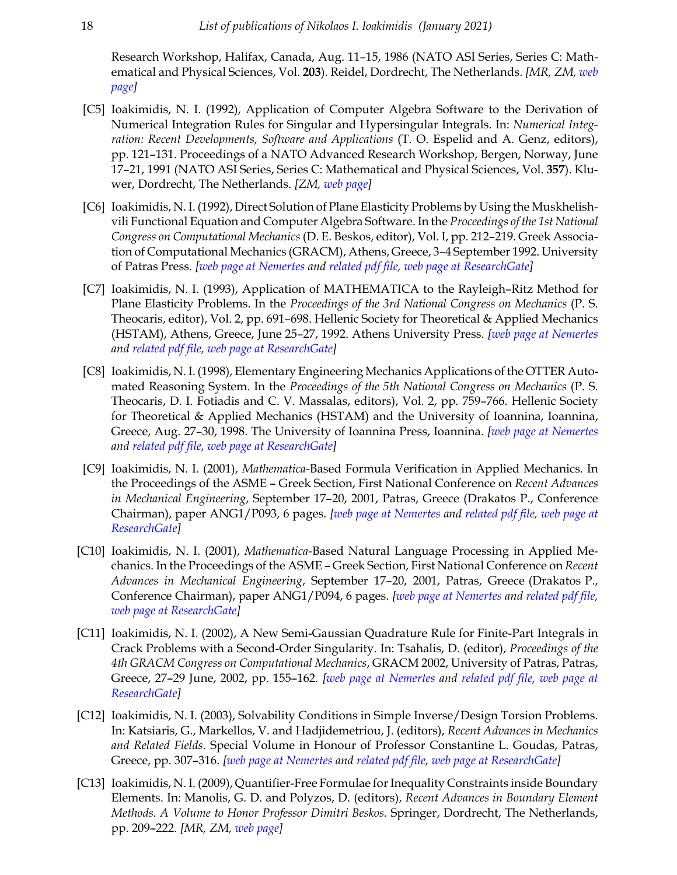Research Workshop, Halifax, Canada, Aug. 11–15, 1986 (NATO ASI Series, Series C: Mathematical and Physical Sciences, Vol. **203**). Reidel, Dordrecht, The Netherlands. *[MR, ZM, [web](https://doi.org/10.1007/978-94-009-3889-2_5) [page\]](https://doi.org/10.1007/978-94-009-3889-2_5)*

- [C5] Ioakimidis, N. I. (1992), Application of Computer Algebra Software to the Derivation of Numerical Integration Rules for Singular and Hypersingular Integrals. In: *Numerical Integration: Recent Developments, Software and Applications* (T. O. Espelid and A. Genz, editors), pp. 121–131. Proceedings of a NATO Advanced Research Workshop, Bergen, Norway, June 17–21, 1991 (NATO ASI Series, Series C: Mathematical and Physical Sciences, Vol. **357**). Kluwer, Dordrecht, The Netherlands. *[ZM, [web page\]](https://doi.org/10.1007/978-94-011-2646-5_10)*
- [C6] Ioakimidis, N. I. (1992), Direct Solution of Plane Elasticity Problems by Using the Muskhelishvili Functional Equation and Computer Algebra Software. In the *Proceedings of the 1st National Congress on Computational Mechanics* (D. E. Beskos, editor), Vol. I, pp. 212–219. Greek Association of Computational Mechanics (GRACM), Athens, Greece, 3–4 September 1992. University of Patras Press. *[\[web page at Nemertes](http://nemertes.lis.upatras.gr/jspui/handle/10889/10918/?locale=en) and [related pdf file](http://nemertes.lis.upatras.gr/jspui/bitstream/10889/10918/1/TR-1992-I14.pdf), [web page at ResearchGate\]](https://www.researchgate.net/publication/333059616)*
- [C7] Ioakimidis, N. I. (1993), Application of MATHEMATICA to the Rayleigh–Ritz Method for Plane Elasticity Problems. In the *Proceedings of the 3rd National Congress on Mechanics* (P. S. Theocaris, editor), Vol. 2, pp. 691–698. Hellenic Society for Theoretical & Applied Mechanics (HSTAM), Athens, Greece, June 25–27, 1992. Athens University Press. *[[web page at Nemertes](http://nemertes.lis.upatras.gr/jspui/handle/10889/10916/?locale=en) and [related pdf file](http://nemertes.lis.upatras.gr/jspui/bitstream/10889/10916/1/TR-1992-I11.pdf), [web page at ResearchGate](https://www.researchgate.net/publication/283970997)]*
- [C8] Ioakimidis, N. I. (1998), Elementary Engineering Mechanics Applications of the OTTER Automated Reasoning System. In the *Proceedings of the 5th National Congress on Mechanics* (P. S. Theocaris, D. I. Fotiadis and C. V. Massalas, editors), Vol. 2, pp. 759–766. Hellenic Society for Theoretical & Applied Mechanics (HSTAM) and the University of Ioannina, Ioannina, Greece, Aug. 27–30, 1998. The University of Ioannina Press, Ioannina. *[\[web page at Nemertes](http://nemertes.lis.upatras.gr/jspui/handle/10889/10919/?locale=en) and [related pdf file](http://nemertes.lis.upatras.gr/jspui/bitstream/10889/10919/1/TR-1998-O1.pdf), [web page at ResearchGate](https://www.researchgate.net/publication/333059635)]*
- [C9] Ioakimidis, N. I. (2001), *Mathematica*-Based Formula Verification in Applied Mechanics. In the Proceedings of the ASME - Greek Section, First National Conference on *Recent Advances in Mechanical Engineering*, September 17–20, 2001, Patras, Greece (Drakatos P., Conference Chairman), paper ANG1/P093, 6 pages. *[[web page at Nemertes](http://nemertes.lis.upatras.gr/jspui/handle/10889/10847/?locale=en) and [related pdf file,](http://nemertes.lis.upatras.gr/jspui/bitstream/10889/10847/1/ANG1-P093-2001-C9.pdf) [web page at](https://www.researchgate.net/publication/228920328) [ResearchGate](https://www.researchgate.net/publication/228920328)]*
- [C10] Ioakimidis, N. I. (2001), *Mathematica*-Based Natural Language Processing in Applied Mechanics. In the Proceedings of the ASME - Greek Section, First National Conference on *Recent Advances in Mechanical Engineering*, September 17–20, 2001, Patras, Greece (Drakatos P., Conference Chairman), paper ANG1/P094, 6 pages. *[\[web page at Nemertes](http://nemertes.lis.upatras.gr/jspui/handle/10889/10851/?locale=en) and [related pdf file](http://nemertes.lis.upatras.gr/jspui/bitstream/10889/10851/1/ANG1-P094-2001-C10.pdf), [web page at ResearchGate](https://www.researchgate.net/publication/242756397)]*
- [C11] Ioakimidis, N. I. (2002), A New Semi-Gaussian Quadrature Rule for Finite-Part Integrals in Crack Problems with a Second-Order Singularity. In: Tsahalis, D. (editor), *Proceedings of the 4th GRACM Congress on Computational Mechanics*, GRACM 2002, University of Patras, Patras, Greece, 27--29 June, 2002, pp. 155--162. *[\[web page at Nemertes](http://nemertes.lis.upatras.gr/jspui/handle/10889/10978/?locale=en) and [related pdf file,](http://nemertes.lis.upatras.gr/jspui/bitstream/10889/10978/1/TR-1999-N7.pdf) [web page at](https://www.researchgate.net/publication/333043993) [ResearchGate](https://www.researchgate.net/publication/333043993)]*
- [C12] Ioakimidis, N. I. (2003), Solvability Conditions in Simple Inverse/Design Torsion Problems. In: Katsiaris, G., Markellos, V. and Hadjidemetriou, J. (editors), *Recent Advances in Mechanics and Related Fields*. Special Volume in Honour of Professor Constantine L. Goudas, Patras, Greece, pp. 307-316. *[\[web page at Nemertes](http://nemertes.lis.upatras.gr/jspui/handle/10889/10841/?locale=en) and [related pdf file](http://nemertes.lis.upatras.gr/jspui/bitstream/10889/10841/1/C012--2003--RAMRF--Goudas--307-316.pdf), [web page at ResearchGate\]](https://www.researchgate.net/publication/333024095)*
- [C13] Ioakimidis, N. I. (2009), Quantifier-Free Formulae for Inequality Constraints inside Boundary Elements. In: Manolis, G. D. and Polyzos, D. (editors), *Recent Advances in Boundary Element Methods. A Volume to Honor Professor Dimitri Beskos.* Springer, Dordrecht, The Netherlands, pp. 209--222. *[MR, ZM, [web page](https://doi.org/10.1007/978-1-4020-9710-2_14)]*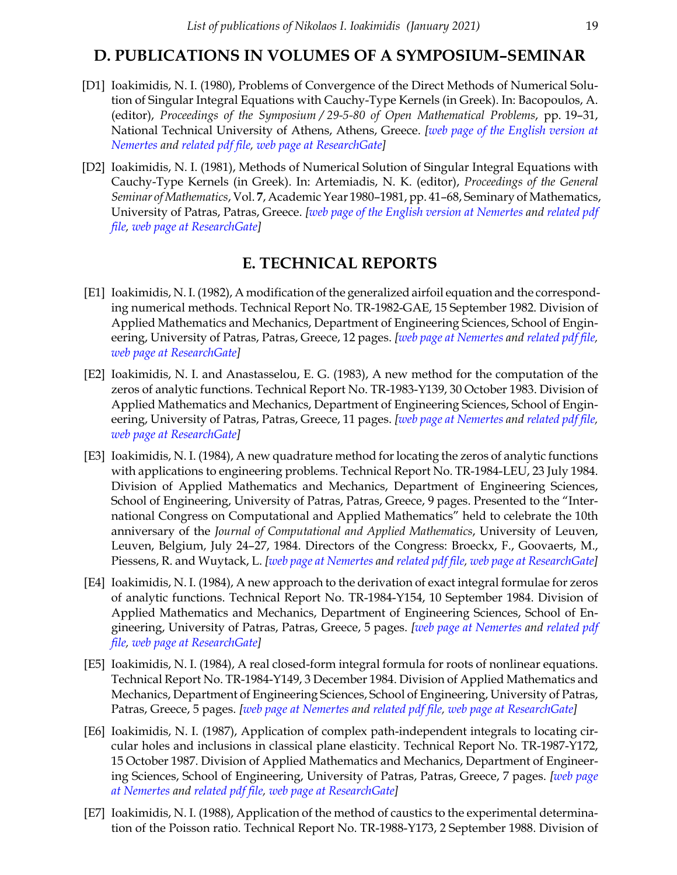## **D. PUBLICATIONS IN VOLUMES OF A SYMPOSIUM–SEMINAR**

- [D1] Ioakimidis, N. I. (1980), Problems of Convergence of the Direct Methods of Numerical Solution of Singular Integral Equations with Cauchy-Type Kernels (in Greek). In: Bacopoulos, A. (editor), *Proceedings of the Symposium / 29-5-80 of Open Mathematical Problems*, pp. 19–31, National Technical University of Athens, Athens, Greece. *[[web page of the English version at](http://nemertes.lis.upatras.gr/jspui/handle/10889/10989?locale=en) [Nemertes](http://nemertes.lis.upatras.gr/jspui/handle/10889/10989?locale=en) and [related pdf file,](http://nemertes.lis.upatras.gr/jspui/bitstream/10889/10989/1/TR-1982-NTUA.pdf) [web page at ResearchGate\]](https://www.researchgate.net/publication/333043762)*
- [D2] Ioakimidis, N. I. (1981), Methods of Numerical Solution of Singular Integral Equations with Cauchy-Type Kernels (in Greek). In: Artemiadis, N. K. (editor), *Proceedings of the General Seminar of Mathematics*, Vol. **7**, Academic Year 1980–1981, pp. 41–68, Seminary of Mathematics, University of Patras, Patras, Greece. *[[web page of the English version at Nemertes](http://nemertes.lis.upatras.gr/jspui/handle/10889/11098/?locale=en) and [related pdf](http://nemertes.lis.upatras.gr/jspui/bitstream/10889/11098/1/TR-1983-GSM.pdf) [file](http://nemertes.lis.upatras.gr/jspui/bitstream/10889/11098/1/TR-1983-GSM.pdf), [web page at ResearchGate\]](https://www.researchgate.net/publication/333043925)*

# **E. TECHNICAL REPORTS**

- [E1] Ioakimidis, N. I. (1982), A modification of the generalized airfoil equation and the corresponding numerical methods. Technical Report No. TR-1982-GAE, 15 September 1982. Division of Applied Mathematics and Mechanics, Department of Engineering Sciences, School of Engineering, University of Patras, Patras, Greece, 12 pages. *[[web page at Nemertes](http://nemertes.lis.upatras.gr/jspui/handle/10889/11214/?locale=en) and [related pdf file](http://nemertes.lis.upatras.gr/jspui/bitstream/10889/11214/1/TR-1982-GAE.pdf), [web page at ResearchGate](https://doi.org/10.13140/RG.2.2.31353.93289)]*
- [E2] Ioakimidis, N. I. and Anastasselou, E. G. (1983), A new method for the computation of the zeros of analytic functions. Technical Report No. TR-1983-Y139, 30 October 1983. Division of Applied Mathematics and Mechanics, Department of Engineering Sciences, School of Engineering, University of Patras, Patras, Greece, 11 pages. *[[web page at Nemertes](http://nemertes.lis.upatras.gr/jspui/handle/10889/11213/?locale=en) and [related pdf file](http://nemertes.lis.upatras.gr/jspui/bitstream/10889/11213/1/TR-1983-Y139.pdf), [web page at ResearchGate](https://doi.org/10.13140/RG.2.2.24643.04643)]*
- [E3] Ioakimidis, N. I. (1984), A new quadrature method for locating the zeros of analytic functions with applications to engineering problems. Technical Report No. TR-1984-LEU, 23 July 1984. Division of Applied Mathematics and Mechanics, Department of Engineering Sciences, School of Engineering, University of Patras, Patras, Greece, 9 pages. Presented to the "International Congress on Computational and Applied Mathematics" held to celebrate the 10th anniversary of the *Journal of Computational and Applied Mathematics*, University of Leuven, Leuven, Belgium, July 24–27, 1984. Directors of the Congress: Broeckx, F., Goovaerts, M., Piessens, R. and Wuytack, L. *[\[web page at Nemertes](http://nemertes.lis.upatras.gr/jspui/handle/10889/10982/?locale=en) and [related pdf file](http://nemertes.lis.upatras.gr/jspui/bitstream/10889/10982/1/TR-1984-LEU.pdf), [web page at ResearchGate\]](https://www.researchgate.net/publication/333059278)*
- [E4] Ioakimidis, N. I. (1984), A new approach to the derivation of exact integral formulae for zeros of analytic functions. Technical Report No. TR-1984-Y154, 10 September 1984. Division of Applied Mathematics and Mechanics, Department of Engineering Sciences, School of Engineering, University of Patras, Patras, Greece, 5 pages. *[\[web page at Nemertes](http://nemertes.lis.upatras.gr/jspui/handle/10889/10924/?locale=en) and [related pdf](http://nemertes.lis.upatras.gr/jspui/bitstream/10889/10924/1/TR-1984-Y154.pdf) [file](http://nemertes.lis.upatras.gr/jspui/bitstream/10889/10924/1/TR-1984-Y154.pdf), [web page at ResearchGate\]](https://doi.org/10.13140/RG.2.2.15415.57765)*
- [E5] Ioakimidis, N. I. (1984), A real closed-form integral formula for roots of nonlinear equations. Technical Report No. TR-1984-Y149, 3 December 1984. Division of Applied Mathematics and Mechanics, Department of Engineering Sciences, School of Engineering, University of Patras, Patras, Greece, 5 pages. *[[web page at Nemertes](http://nemertes.lis.upatras.gr/jspui/handle/10889/11162/?locale=en) and [related pdf file,](http://nemertes.lis.upatras.gr/jspui/bitstream/10889/11162/1/TR-1984-Y149.pdf) [web page at ResearchGate\]](https://doi.org/10.13140/RG.2.2.25481.90728)*
- [E6] Ioakimidis, N. I. (1987), Application of complex path-independent integrals to locating circular holes and inclusions in classical plane elasticity. Technical Report No. TR-1987-Y172, 15 October 1987. Division of Applied Mathematics and Mechanics, Department of Engineering Sciences, School of Engineering, University of Patras, Patras, Greece, 7 pages. *[[web page](http://nemertes.lis.upatras.gr/jspui/handle/10889/11161/?locale=en) [at Nemertes](http://nemertes.lis.upatras.gr/jspui/handle/10889/11161/?locale=en) and [related pdf file,](http://nemertes.lis.upatras.gr/jspui/bitstream/10889/11161/1/TR-1987-Y172.pdf) [web page at ResearchGate\]](https://doi.org/10.13140/RG.2.2.20448.74241)*
- [E7] Ioakimidis, N. I. (1988), Application of the method of caustics to the experimental determination of the Poisson ratio. Technical Report No. TR-1988-Y173, 2 September 1988. Division of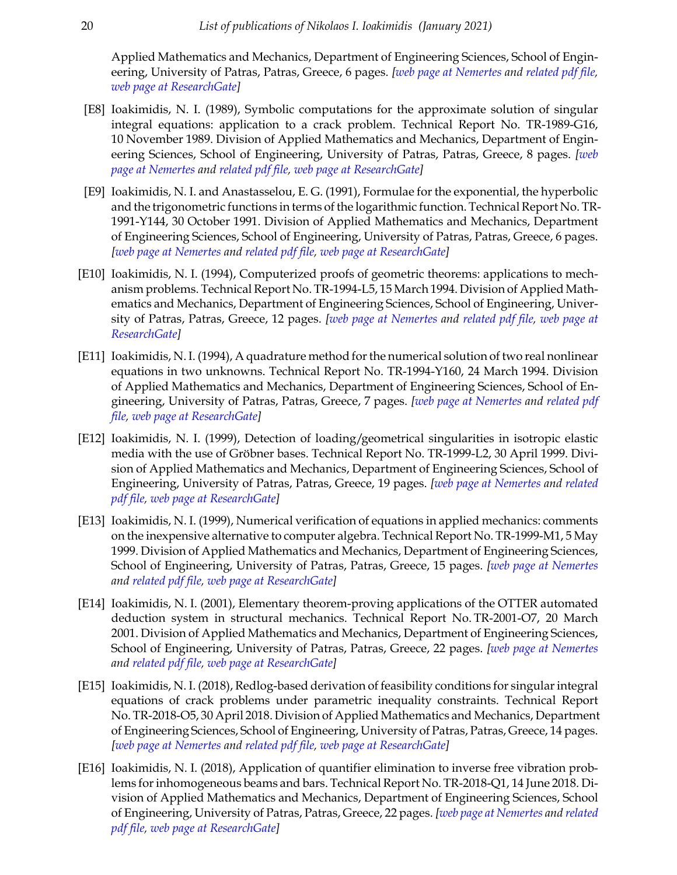Applied Mathematics and Mechanics, Department of Engineering Sciences, School of Engineering, University of Patras, Patras, Greece, 6 pages. *[[web page at Nemertes](http://nemertes.lis.upatras.gr/jspui/handle/10889/11158/?locale=en) and [related pdf file](http://nemertes.lis.upatras.gr/jspui/bitstream/10889/11158/1/TR-1988-Y173.pdf), [web page at ResearchGate](https://doi.org/10.13140/RG.2.2.13737.85606)]*

- [E8] Ioakimidis, N. I. (1989), Symbolic computations for the approximate solution of singular integral equations: application to a crack problem. Technical Report No. TR-1989-G16, 10 November 1989. Division of Applied Mathematics and Mechanics, Department of Engineering Sciences, School of Engineering, University of Patras, Patras, Greece, 8 pages. *[[web](http://nemertes.lis.upatras.gr/jspui/handle/10889/10983/?locale=en) [page at Nemertes](http://nemertes.lis.upatras.gr/jspui/handle/10889/10983/?locale=en) and [related pdf file,](http://nemertes.lis.upatras.gr/jspui/bitstream/10889/10983/1/TR-1989-G16.pdf) [web page at ResearchGate\]](https://doi.org/10.13140/RG.2.2.16464.15360)*
- [E9] Ioakimidis, N. I. and Anastasselou, E. G. (1991), Formulae for the exponential, the hyperbolic and the trigonometric functions in terms of the logarithmic function. Technical Report No. TR-1991-Y144, 30 October 1991. Division of Applied Mathematics and Mechanics, Department of Engineering Sciences, School of Engineering, University of Patras, Patras, Greece, 6 pages. *[\[web page at Nemertes](http://nemertes.lis.upatras.gr/jspui/handle/10889/10842/?locale=en) and [related pdf file](http://nemertes.lis.upatras.gr/jspui/bitstream/10889/10842/1/TR-1991-Y144.pdf), [web page at ResearchGate](https://doi.org/10.13140/RG.2.2.11588.27527)]*
- [E10] Ioakimidis, N. I. (1994), Computerized proofs of geometric theorems: applications to mechanism problems. Technical Report No. TR-1994-L5, 15 March 1994. Division of Applied Mathematics and Mechanics, Department of Engineering Sciences, School of Engineering, University of Patras, Patras, Greece, 12 pages. *[[web page at Nemertes](http://nemertes.lis.upatras.gr/jspui/handle/10889/10915/?locale=en) and [related pdf file,](http://nemertes.lis.upatras.gr/jspui/bitstream/10889/10915/1/TR-1994-L5.pdf) [web page at](https://doi.org/10.13140/RG.2.2.22493.46565) [ResearchGate](https://doi.org/10.13140/RG.2.2.22493.46565)]*
- [E11] Ioakimidis, N. I. (1994), A quadrature method for the numerical solution of two real nonlinear equations in two unknowns. Technical Report No. TR-1994-Y160, 24 March 1994. Division of Applied Mathematics and Mechanics, Department of Engineering Sciences, School of Engineering, University of Patras, Patras, Greece, 7 pages. *[\[web page at Nemertes](http://nemertes.lis.upatras.gr/jspui/handle/10889/10844/?locale=en) and [related pdf](http://nemertes.lis.upatras.gr/jspui/bitstream/10889/10844/1/TR-1994-Y160.pdf) [file](http://nemertes.lis.upatras.gr/jspui/bitstream/10889/10844/1/TR-1994-Y160.pdf), [web page at ResearchGate\]](https://doi.org/10.13140/RG.2.2.14524.28802)*
- [E12] Ioakimidis, N. I. (1999), Detection of loading/geometrical singularities in isotropic elastic media with the use of Gröbner bases. Technical Report No. TR-1999-L2, 30 April 1999. Division of Applied Mathematics and Mechanics, Department of Engineering Sciences, School of Engineering, University of Patras, Patras, Greece, 19 pages. *[[web page at Nemertes](http://nemertes.lis.upatras.gr/jspui/handle/10889/10843/?locale=en) and [related](http://nemertes.lis.upatras.gr/jspui/bitstream/10889/10843/1/TR-1999-L2.pdf) [pdf file,](http://nemertes.lis.upatras.gr/jspui/bitstream/10889/10843/1/TR-1999-L2.pdf) [web page at ResearchGate\]](https://doi.org/10.13140/RG.2.2.17879.73121)*
- [E13] Ioakimidis, N. I. (1999), Numerical verification of equations in applied mechanics: comments on the inexpensive alternative to computer algebra. Technical Report No. TR-1999-M1, 5 May 1999. Division of Applied Mathematics and Mechanics, Department of Engineering Sciences, School of Engineering, University of Patras, Patras, Greece, 15 pages. *[[web page at Nemertes](http://nemertes.lis.upatras.gr/jspui/handle/10889/10980/?locale=en) and [related pdf file](http://nemertes.lis.upatras.gr/jspui/bitstream/10889/10980/1/TR-1999-M1.pdf), [web page at ResearchGate](https://doi.org/10.13140/RG.2.2.28784.92169)]*
- [E14] Ioakimidis, N. I. (2001), Elementary theorem-proving applications of the OTTER automated deduction system in structural mechanics. Technical Report No. TR-2001-O7, 20 March 2001. Division of Applied Mathematics and Mechanics, Department of Engineering Sciences, School of Engineering, University of Patras, Patras, Greece, 22 pages. *[[web page at Nemertes](http://nemertes.lis.upatras.gr/jspui/handle/10889/10917/?locale=en) and [related pdf file](http://nemertes.lis.upatras.gr/jspui/bitstream/10889/10917/1/TR-2001-O7.pdf), [web page at ResearchGate](https://doi.org/10.13140/RG.2.2.18718.59205)]*
- [E15] Ioakimidis, N. I. (2018), Redlog-based derivation of feasibility conditions for singular integral equations of crack problems under parametric inequality constraints. Technical Report No. TR-2018-O5, 30 April 2018. Division of Applied Mathematics and Mechanics, Department of Engineering Sciences, School of Engineering, University of Patras, Patras, Greece, 14 pages. *[\[web page at Nemertes](http://nemertes.lis.upatras.gr/jspui/handle/10889/11217/?locale=en) and [related pdf file](http://nemertes.lis.upatras.gr/jspui/bitstream/10889/11217/1/TR-2018-O5.pdf), [web page at ResearchGate](https://doi.org/10.13140/RG.2.2.15677.72164)]*
- [E16] Ioakimidis, N. I. (2018), Application of quantifier elimination to inverse free vibration problems for inhomogeneous beams and bars. Technical Report No. TR-2018-Q1, 14 June 2018. Division of Applied Mathematics and Mechanics, Department of Engineering Sciences, School of Engineering, University of Patras, Patras, Greece, 22 pages. *[\[web page at Nemertes](https://nemertes.lis.upatras.gr/jspui/handle/10889/11410/?locale=en) and [related](https://nemertes.lis.upatras.gr/jspui/bitstream/10889/11410/1/TR-2018-Q1.pdf) [pdf file,](https://nemertes.lis.upatras.gr/jspui/bitstream/10889/11410/1/TR-2018-Q1.pdf) [web page at ResearchGate\]](https://doi.org/10.13140/RG.2.2.35810.38080)*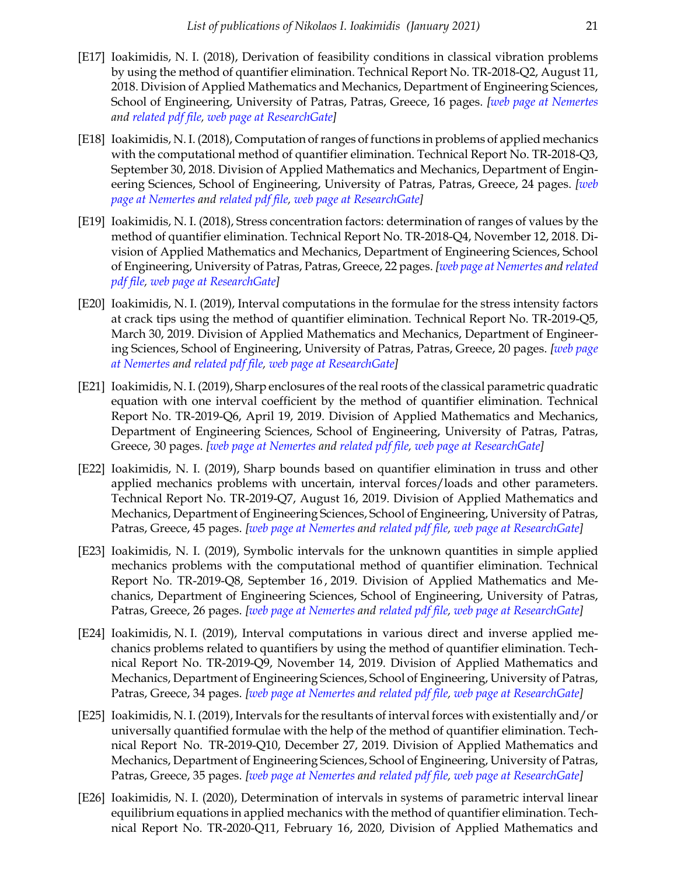- [E17] Ioakimidis, N. I. (2018), Derivation of feasibility conditions in classical vibration problems by using the method of quantifier elimination. Technical Report No. TR-2018-Q2, August 11, 2018. Division of Applied Mathematics and Mechanics, Department of Engineering Sciences, School of Engineering, University of Patras, Patras, Greece, 16 pages. *[[web page at Nemertes](https://nemertes.lis.upatras.gr/jspui/handle/10889/11505/?locale=en) and [related pdf file](https://nemertes.lis.upatras.gr/jspui/bitstream/10889/11505/1/TR-2018-Q2.pdf), [web page at ResearchGate](https://doi.org/10.13140/RG.2.2.31616.07688)]*
- [E18] Ioakimidis, N. I. (2018), Computation of ranges of functions in problems of applied mechanics with the computational method of quantifier elimination. Technical Report No. TR-2018-Q3, September 30, 2018. Division of Applied Mathematics and Mechanics, Department of Engineering Sciences, School of Engineering, University of Patras, Patras, Greece, 24 pages. *[[web](https://nemertes.lis.upatras.gr/jspui/handle/10889/11605/?locale=en) [page at Nemertes](https://nemertes.lis.upatras.gr/jspui/handle/10889/11605/?locale=en) and [related pdf file,](https://nemertes.lis.upatras.gr/jspui/bitstream/10889/11605/1/TR-2018-Q3.pdf) [web page at ResearchGate\]](https://doi.org/10.13140/RG.2.2.13161.13929)*
- [E19] Ioakimidis, N. I. (2018), Stress concentration factors: determination of ranges of values by the method of quantifier elimination. Technical Report No. TR-2018-Q4, November 12, 2018. Division of Applied Mathematics and Mechanics, Department of Engineering Sciences, School of Engineering, University of Patras, Patras, Greece, 22 pages. *[\[web page at Nemertes](https://nemertes.lis.upatras.gr/jspui/handle/10889/11736/?locale=en) and [related](https://nemertes.lis.upatras.gr/jspui/bitstream/10889/11736/1/TR-2018-Q4.pdf) [pdf file,](https://nemertes.lis.upatras.gr/jspui/bitstream/10889/11736/1/TR-2018-Q4.pdf) [web page at ResearchGate\]](https://doi.org/10.13140/RG.2.2.19872.02566)*
- [E20] Ioakimidis, N. I. (2019), Interval computations in the formulae for the stress intensity factors at crack tips using the method of quantifier elimination. Technical Report No. TR-2019-Q5, March 30, 2019. Division of Applied Mathematics and Mechanics, Department of Engineering Sciences, School of Engineering, University of Patras, Patras, Greece, 20 pages. *[\[web page](https://nemertes.lis.upatras.gr/jspui/handle/10889/12153/?locale=en) [at Nemertes](https://nemertes.lis.upatras.gr/jspui/handle/10889/12153/?locale=en) and [related pdf file,](https://nemertes.lis.upatras.gr/jspui/bitstream/10889/12153/1/TR-2019-Q5.pdf) [web page at ResearchGate\]](https://doi.org/10.13140/RG.2.2.33293.79848)*
- [E21] Ioakimidis, N. I. (2019), Sharp enclosures of the real roots of the classical parametric quadratic equation with one interval coefficient by the method of quantifier elimination. Technical Report No. TR-2019-Q6, April 19, 2019. Division of Applied Mathematics and Mechanics, Department of Engineering Sciences, School of Engineering, University of Patras, Patras, Greece, 30 pages. *[[web page at Nemertes](https://nemertes.lis.upatras.gr/jspui/handle/10889/12159/?locale=en) and [related pdf file,](https://nemertes.lis.upatras.gr/jspui/bitstream/10889/12159/1/TR-2019-Q6.pdf) [web page at ResearchGate\]](https://doi.org/10.13140/RG.2.2.16516.58248)*
- [E22] Ioakimidis, N. I. (2019), Sharp bounds based on quantifier elimination in truss and other applied mechanics problems with uncertain, interval forces/loads and other parameters. Technical Report No. TR-2019-Q7, August 16, 2019. Division of Applied Mathematics and Mechanics, Department of Engineering Sciences, School of Engineering, University of Patras, Patras, Greece, 45 pages. *[\[web page at Nemertes](https://nemertes.lis.upatras.gr/jspui/handle/10889/12497/?locale=en) and [related pdf file](https://nemertes.lis.upatras.gr/jspui/bitstream/10889/12497/1/TR-2019-Q7.pdf), [web page at ResearchGate](https://doi.org/10.13140/RG.2.2.22662.52803)]*
- [E23] Ioakimidis, N. I. (2019), Symbolic intervals for the unknown quantities in simple applied mechanics problems with the computational method of quantifier elimination. Technical Report No. TR-2019-Q8, September 16 , 2019. Division of Applied Mathematics and Mechanics, Department of Engineering Sciences, School of Engineering, University of Patras, Patras, Greece, 26 pages. *[\[web page at Nemertes](https://nemertes.lis.upatras.gr/jspui/handle/10889/12745/?locale=en) and [related pdf file](https://nemertes.lis.upatras.gr/jspui/bitstream/10889/12745/1/TR-2019-Q8.pdf), [web page at ResearchGate](https://doi.org/10.13140/RG.2.2.26311.24485)]*
- [E24] Ioakimidis, N. I. (2019), Interval computations in various direct and inverse applied mechanics problems related to quantifiers by using the method of quantifier elimination. Technical Report No. TR-2019-Q9, November 14, 2019. Division of Applied Mathematics and Mechanics, Department of Engineering Sciences, School of Engineering, University of Patras, Patras, Greece, 34 pages. *[\[web page at Nemertes](https://nemertes.lis.upatras.gr/jspui/handle/10889/13204/?locale=en) and [related pdf file](https://nemertes.lis.upatras.gr/jspui/bitstream/10889/13204/1/TR-2019-Q9.pdf), [web page at ResearchGate](https://doi.org/10.13140/RG.2.2.13976.14087)]*
- [E25] Ioakimidis, N. I. (2019), Intervals for the resultants of interval forces with existentially and/or universally quantified formulae with the help of the method of quantifier elimination. Technical Report No. TR-2019-Q10, December 27, 2019. Division of Applied Mathematics and Mechanics, Department of Engineering Sciences, School of Engineering, University of Patras, Patras, Greece, 35 pages. *[\[web page at Nemertes](https://nemertes.lis.upatras.gr/jspui/handle/10889/13205/?locale=en) and [related pdf file](https://nemertes.lis.upatras.gr/jspui/bitstream/10889/13205/1/TR-2019-Q10.pdf), [web page at ResearchGate](https://doi.org/10.13140/RG.2.2.11338.93125)]*
- [E26] Ioakimidis, N. I. (2020), Determination of intervals in systems of parametric interval linear equilibrium equations in applied mechanics with the method of quantifier elimination. Technical Report No. TR-2020-Q11, February 16, 2020, Division of Applied Mathematics and